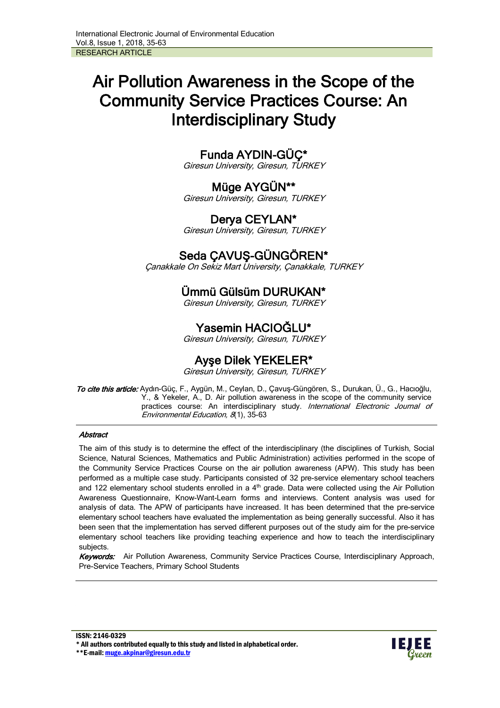# Air Pollution Awareness in the Scope of the Community Service Practices Course: An Interdisciplinary Study

## Funda AYDIN-GÜÇ\*

Giresun University, Giresun, TURKEY

# Müge AYGÜN\*\*

Giresun University, Giresun, TURKEY

## Derya CEYLAN\*

Giresun University, Giresun, TURKEY

## Seda ÇAVUŞ-GÜNGÖREN\*

Çanakkale On Sekiz Mart University, Çanakkale, TURKEY

## Ümmü Gülsüm DURUKAN\*

Giresun University, Giresun, TURKEY

## Yasemin HACIOĞLU\*

Giresun University, Giresun, TURKEY

## Ayşe Dilek YEKELER\*

Giresun University, Giresun, TURKEY

To cite this article: Aydın-Güç, F., Aygün, M., Ceylan, D., Çavuş-Güngören, S., Durukan, Ü., G., Hacıoğlu, Y., & Yekeler, A., D. Air pollution awareness in the scope of the community service practices course: An interdisciplinary study. International Electronic Journal of Environmental Education, 8(1), 35-63

#### **Abstract**

The aim of this study is to determine the effect of the interdisciplinary (the disciplines of Turkish, Social Science, Natural Sciences, Mathematics and Public Administration) activities performed in the scope of the Community Service Practices Course on the air pollution awareness (APW). This study has been performed as a multiple case study. Participants consisted of 32 pre-service elementary school teachers and 122 elementary school students enrolled in a  $4<sup>th</sup>$  grade. Data were collected using the Air Pollution Awareness Questionnaire, Know-Want-Learn forms and interviews. Content analysis was used for analysis of data. The APW of participants have increased. It has been determined that the pre-service elementary school teachers have evaluated the implementation as being generally successful. Also it has been seen that the implementation has served different purposes out of the study aim for the pre-service elementary school teachers like providing teaching experience and how to teach the interdisciplinary subjects.

Keywords: Air Pollution Awareness, Community Service Practices Course, Interdisciplinary Approach, Pre-Service Teachers, Primary School Students

\*\*E-mail: muge.akpinar@giresun.edu.tr

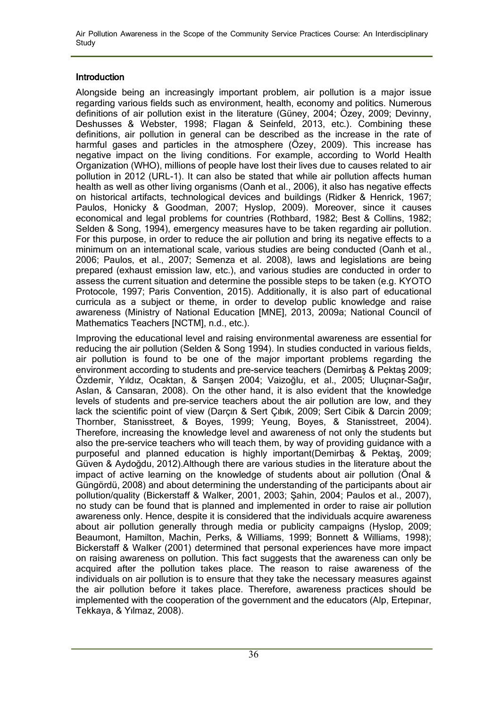Air Pollution Awareness in the Scope of the Community Service Practices Course: An Interdisciplinary **Study** 

## Introduction

Alongside being an increasingly important problem, air pollution is a major issue regarding various fields such as environment, health, economy and politics. Numerous definitions of air pollution exist in the literature (Güney, 2004; Özey, 2009; Devinny, Deshusses & Webster, 1998; Flagan & Seinfeld, 2013, etc.). Combining these definitions, air pollution in general can be described as the increase in the rate of harmful gases and particles in the atmosphere (Özey, 2009). This increase has negative impact on the living conditions. For example, according to World Health Organization (WHO), millions of people have lost their lives due to causes related to air pollution in 2012 (URL-1). It can also be stated that while air pollution affects human health as well as other living organisms (Oanh et al., 2006), it also has negative effects on historical artifacts, technological devices and buildings (Ridker & Henrick, 1967; Paulos, Honicky & Goodman, 2007; Hyslop, 2009). Moreover, since it causes economical and legal problems for countries (Rothbard, 1982; Best & Collins, 1982; Selden & Song, 1994), emergency measures have to be taken regarding air pollution. For this purpose, in order to reduce the air pollution and bring its negative effects to a minimum on an international scale, various studies are being conducted (Oanh et al., 2006; Paulos, et al., 2007; Semenza et al. 2008), laws and legislations are being prepared (exhaust emission law, etc.), and various studies are conducted in order to assess the current situation and determine the possible steps to be taken (e.g. KYOTO Protocole, 1997; Paris Convention, 2015). Additionally, it is also part of educational curricula as a subject or theme, in order to develop public knowledge and raise awareness (Ministry of National Education [MNE], 2013, 2009a; National Council of Mathematics Teachers [NCTM], n.d., etc.).

Improving the educational level and raising environmental awareness are essential for reducing the air pollution (Selden & Song 1994). In studies conducted in various fields, air pollution is found to be one of the major important problems regarding the environment according to students and pre-service teachers (Demirbaş & Pektaş 2009; Özdemir, Yıldız, Ocaktan, & Sarışen 2004; Vaizoğlu, et al., 2005; Uluçınar-Sağır, Aslan, & Cansaran, 2008). On the other hand, it is also evident that the knowledge levels of students and pre-service teachers about the air pollution are low, and they lack the scientific point of view (Darçın & Sert Çıbık, 2009; Sert Cibik & Darcin 2009; Thornber, Stanisstreet, & Boyes, 1999; Yeung, Boyes, & Stanisstreet, 2004). Therefore, increasing the knowledge level and awareness of not only the students but also the pre-service teachers who will teach them, by way of providing guidance with a purposeful and planned education is highly important(Demirbaş & Pektaş, 2009; Güven & Aydoğdu, 2012).Although there are various studies in the literature about the impact of active learning on the knowledge of students about air pollution (Önal & Güngördü, 2008) and about determining the understanding of the participants about air pollution/quality (Bickerstaff & Walker, 2001, 2003; Şahin, 2004; Paulos et al., 2007), no study can be found that is planned and implemented in order to raise air pollution awareness only. Hence, despite it is considered that the individuals acquire awareness about air pollution generally through media or publicity campaigns (Hyslop, 2009; Beaumont, Hamilton, Machin, Perks, & Williams, 1999; Bonnett & Williams, 1998); Bickerstaff & Walker (2001) determined that personal experiences have more impact on raising awareness on pollution. This fact suggests that the awareness can only be acquired after the pollution takes place. The reason to raise awareness of the individuals on air pollution is to ensure that they take the necessary measures against the air pollution before it takes place. Therefore, awareness practices should be implemented with the cooperation of the government and the educators (Alp, Ertepınar, Tekkaya, & Yılmaz, 2008).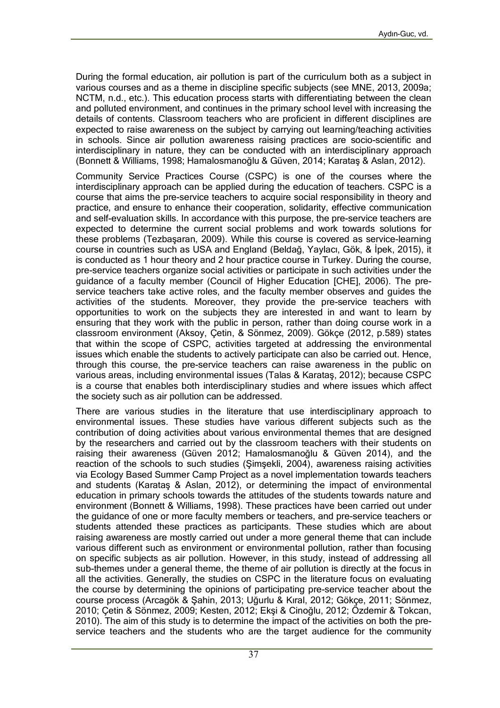During the formal education, air pollution is part of the curriculum both as a subject in various courses and as a theme in discipline specific subjects (see MNE, 2013, 2009a; NCTM, n.d., etc.). This education process starts with differentiating between the clean and polluted environment, and continues in the primary school level with increasing the details of contents. Classroom teachers who are proficient in different disciplines are expected to raise awareness on the subject by carrying out learning/teaching activities in schools. Since air pollution awareness raising practices are socio-scientific and interdisciplinary in nature, they can be conducted with an interdisciplinary approach (Bonnett & Williams, 1998; Hamalosmanoğlu & Güven, 2014; Karataş & Aslan, 2012).

Community Service Practices Course (CSPC) is one of the courses where the interdisciplinary approach can be applied during the education of teachers. CSPC is a course that aims the pre-service teachers to acquire social responsibility in theory and practice, and ensure to enhance their cooperation, solidarity, effective communication and self-evaluation skills. In accordance with this purpose, the pre-service teachers are expected to determine the current social problems and work towards solutions for these problems (Tezbaşaran, 2009). While this course is covered as service-learning course in countries such as USA and England (Beldağ, Yaylacı, Gök, & İpek, 2015), it is conducted as 1 hour theory and 2 hour practice course in Turkey. During the course, pre-service teachers organize social activities or participate in such activities under the guidance of a faculty member (Council of Higher Education [CHE], 2006). The preservice teachers take active roles, and the faculty member observes and guides the activities of the students. Moreover, they provide the pre-service teachers with opportunities to work on the subjects they are interested in and want to learn by ensuring that they work with the public in person, rather than doing course work in a classroom environment (Aksoy, Çetin, & Sönmez, 2009). Gökçe (2012, p.589) states that within the scope of CSPC, activities targeted at addressing the environmental issues which enable the students to actively participate can also be carried out. Hence, through this course, the pre-service teachers can raise awareness in the public on various areas, including environmental issues (Talas & Karataş, 2012); because CSPC is a course that enables both interdisciplinary studies and where issues which affect the society such as air pollution can be addressed.

There are various studies in the literature that use interdisciplinary approach to environmental issues. These studies have various different subjects such as the contribution of doing activities about various environmental themes that are designed by the researchers and carried out by the classroom teachers with their students on raising their awareness (Güven 2012; Hamalosmanoğlu & Güven 2014), and the reaction of the schools to such studies (Şimşekli, 2004), awareness raising activities via Ecology Based Summer Camp Project as a novel implementation towards teachers and students (Karataş & Aslan, 2012), or determining the impact of environmental education in primary schools towards the attitudes of the students towards nature and environment (Bonnett & Williams, 1998). These practices have been carried out under the guidance of one or more faculty members or teachers, and pre-service teachers or students attended these practices as participants. These studies which are about raising awareness are mostly carried out under a more general theme that can include various different such as environment or environmental pollution, rather than focusing on specific subjects as air pollution. However, in this study, instead of addressing all sub-themes under a general theme, the theme of air pollution is directly at the focus in all the activities. Generally, the studies on CSPC in the literature focus on evaluating the course by determining the opinions of participating pre-service teacher about the course process (Arcagök & Şahin, 2013; Uğurlu & Kıral, 2012; Gökçe, 2011; Sönmez, 2010; Çetin & Sönmez, 2009; Kesten, 2012; Ekşi & Cinoğlu, 2012; Özdemir & Tokcan, 2010). The aim of this study is to determine the impact of the activities on both the preservice teachers and the students who are the target audience for the community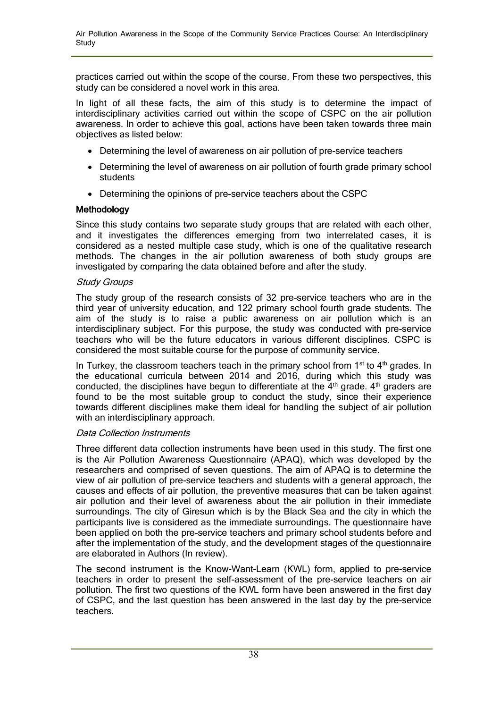practices carried out within the scope of the course. From these two perspectives, this study can be considered a novel work in this area.

In light of all these facts, the aim of this study is to determine the impact of interdisciplinary activities carried out within the scope of CSPC on the air pollution awareness. In order to achieve this goal, actions have been taken towards three main objectives as listed below:

- Determining the level of awareness on air pollution of pre-service teachers
- Determining the level of awareness on air pollution of fourth grade primary school students
- Determining the opinions of pre-service teachers about the CSPC

## **Methodology**

Since this study contains two separate study groups that are related with each other, and it investigates the differences emerging from two interrelated cases, it is considered as a nested multiple case study, which is one of the qualitative research methods. The changes in the air pollution awareness of both study groups are investigated by comparing the data obtained before and after the study.

### Study Groups

The study group of the research consists of 32 pre-service teachers who are in the third year of university education, and 122 primary school fourth grade students. The aim of the study is to raise a public awareness on air pollution which is an interdisciplinary subject. For this purpose, the study was conducted with pre-service teachers who will be the future educators in various different disciplines. CSPC is considered the most suitable course for the purpose of community service.

In Turkey, the classroom teachers teach in the primary school from  $1<sup>st</sup>$  to  $4<sup>th</sup>$  grades. In the educational curricula between 2014 and 2016, during which this study was conducted, the disciplines have begun to differentiate at the  $4<sup>th</sup>$  grade.  $4<sup>th</sup>$  graders are found to be the most suitable group to conduct the study, since their experience towards different disciplines make them ideal for handling the subject of air pollution with an interdisciplinary approach.

### Data Collection Instruments

Three different data collection instruments have been used in this study. The first one is the Air Pollution Awareness Questionnaire (APAQ), which was developed by the researchers and comprised of seven questions. The aim of APAQ is to determine the view of air pollution of pre-service teachers and students with a general approach, the causes and effects of air pollution, the preventive measures that can be taken against air pollution and their level of awareness about the air pollution in their immediate surroundings. The city of Giresun which is by the Black Sea and the city in which the participants live is considered as the immediate surroundings. The questionnaire have been applied on both the pre-service teachers and primary school students before and after the implementation of the study, and the development stages of the questionnaire are elaborated in Authors (In review).

The second instrument is the Know-Want-Learn (KWL) form, applied to pre-service teachers in order to present the self-assessment of the pre-service teachers on air pollution. The first two questions of the KWL form have been answered in the first day of CSPC, and the last question has been answered in the last day by the pre-service teachers.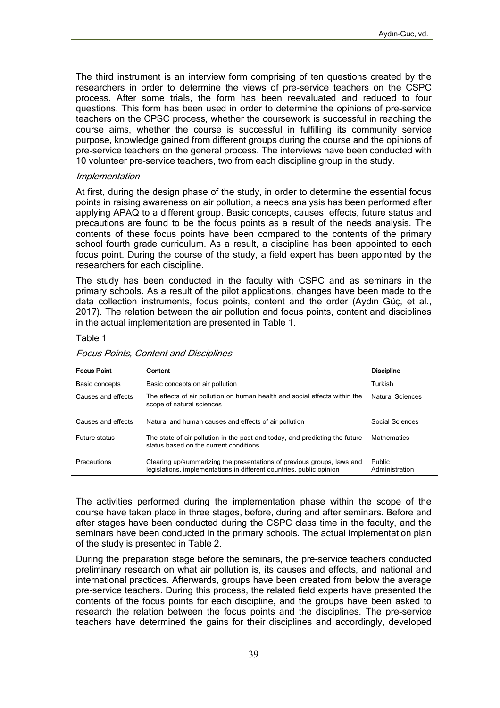The third instrument is an interview form comprising of ten questions created by the researchers in order to determine the views of pre-service teachers on the CSPC process. After some trials, the form has been reevaluated and reduced to four questions. This form has been used in order to determine the opinions of pre-service teachers on the CPSC process, whether the coursework is successful in reaching the course aims, whether the course is successful in fulfilling its community service purpose, knowledge gained from different groups during the course and the opinions of pre-service teachers on the general process. The interviews have been conducted with 10 volunteer pre-service teachers, two from each discipline group in the study.

#### Implementation

At first, during the design phase of the study, in order to determine the essential focus points in raising awareness on air pollution, a needs analysis has been performed after applying APAQ to a different group. Basic concepts, causes, effects, future status and precautions are found to be the focus points as a result of the needs analysis. The contents of these focus points have been compared to the contents of the primary school fourth grade curriculum. As a result, a discipline has been appointed to each focus point. During the course of the study, a field expert has been appointed by the researchers for each discipline.

The study has been conducted in the faculty with CSPC and as seminars in the primary schools. As a result of the pilot applications, changes have been made to the data collection instruments, focus points, content and the order (Aydın Güç, et al., 2017). The relation between the air pollution and focus points, content and disciplines in the actual implementation are presented in Table 1.

#### Table 1.

| <b>Focus Point</b> | Content                                                                                                                                        | <b>Discipline</b>        |
|--------------------|------------------------------------------------------------------------------------------------------------------------------------------------|--------------------------|
| Basic concepts     | Basic concepts on air pollution                                                                                                                | Turkish                  |
| Causes and effects | The effects of air pollution on human health and social effects within the<br>scope of natural sciences                                        | Natural Sciences         |
| Causes and effects | Natural and human causes and effects of air pollution                                                                                          | Social Sciences          |
| Future status      | The state of air pollution in the past and today, and predicting the future<br>status based on the current conditions                          | <b>Mathematics</b>       |
| Precautions        | Clearing up/summarizing the presentations of previous groups, laws and<br>legislations, implementations in different countries, public opinion | Public<br>Administration |

Focus Points, Content and Disciplines

The activities performed during the implementation phase within the scope of the course have taken place in three stages, before, during and after seminars. Before and after stages have been conducted during the CSPC class time in the faculty, and the seminars have been conducted in the primary schools. The actual implementation plan of the study is presented in Table 2.

During the preparation stage before the seminars, the pre-service teachers conducted preliminary research on what air pollution is, its causes and effects, and national and international practices. Afterwards, groups have been created from below the average pre-service teachers. During this process, the related field experts have presented the contents of the focus points for each discipline, and the groups have been asked to research the relation between the focus points and the disciplines. The pre-service teachers have determined the gains for their disciplines and accordingly, developed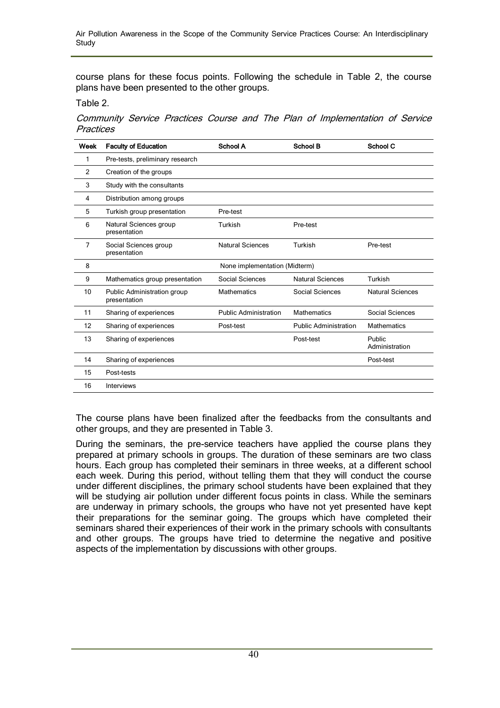course plans for these focus points. Following the schedule in Table 2, the course plans have been presented to the other groups.

Table 2.

Community Service Practices Course and The Plan of Implementation of Service **Practices** 

| Week | <b>Faculty of Education</b>                 | <b>School A</b>               | <b>School B</b>              | <b>School C</b>          |
|------|---------------------------------------------|-------------------------------|------------------------------|--------------------------|
| 1    | Pre-tests, preliminary research             |                               |                              |                          |
| 2    | Creation of the groups                      |                               |                              |                          |
| 3    | Study with the consultants                  |                               |                              |                          |
| 4    | Distribution among groups                   |                               |                              |                          |
| 5    | Turkish group presentation                  | Pre-test                      |                              |                          |
| 6    | Natural Sciences group<br>presentation      | Turkish                       | Pre-test                     |                          |
| 7    | Social Sciences group<br>presentation       | <b>Natural Sciences</b>       | Turkish                      | Pre-test                 |
| 8    |                                             | None implementation (Midterm) |                              |                          |
| 9    | Mathematics group presentation              | Social Sciences               | <b>Natural Sciences</b>      | Turkish                  |
| 10   | Public Administration group<br>presentation | <b>Mathematics</b>            | Social Sciences              | <b>Natural Sciences</b>  |
| 11   | Sharing of experiences                      | <b>Public Administration</b>  | <b>Mathematics</b>           | Social Sciences          |
| 12   | Sharing of experiences                      | Post-test                     | <b>Public Administration</b> | <b>Mathematics</b>       |
| 13   | Sharing of experiences                      |                               | Post-test                    | Public<br>Administration |
| 14   | Sharing of experiences                      |                               |                              | Post-test                |
| 15   | Post-tests                                  |                               |                              |                          |
| 16   | <b>Interviews</b>                           |                               |                              |                          |

The course plans have been finalized after the feedbacks from the consultants and other groups, and they are presented in Table 3.

During the seminars, the pre-service teachers have applied the course plans they prepared at primary schools in groups. The duration of these seminars are two class hours. Each group has completed their seminars in three weeks, at a different school each week. During this period, without telling them that they will conduct the course under different disciplines, the primary school students have been explained that they will be studying air pollution under different focus points in class. While the seminars are underway in primary schools, the groups who have not yet presented have kept their preparations for the seminar going. The groups which have completed their seminars shared their experiences of their work in the primary schools with consultants and other groups. The groups have tried to determine the negative and positive aspects of the implementation by discussions with other groups.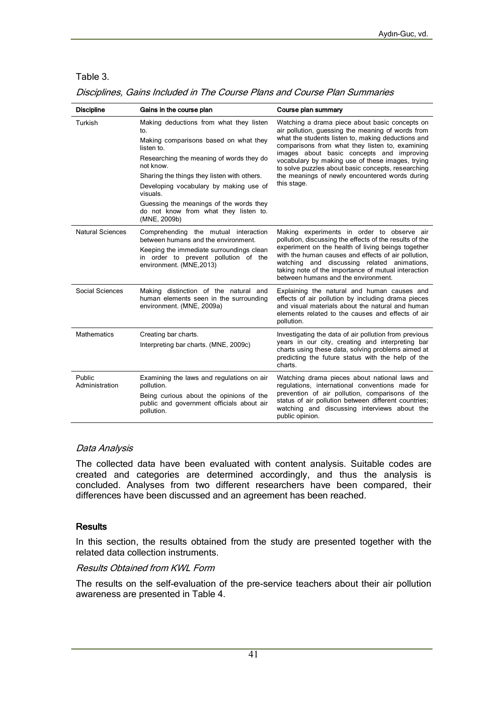#### Table 3.

|  | Disciplines, Gains Included in The Course Plans and Course Plan Summaries |
|--|---------------------------------------------------------------------------|
|  |                                                                           |

| <b>Discipline</b>        | Gains in the course plan                                                                                                                                                                                                                                                                                                                                                | Course plan summary                                                                                                                                                                                                                                                                                                                                                                                                                  |
|--------------------------|-------------------------------------------------------------------------------------------------------------------------------------------------------------------------------------------------------------------------------------------------------------------------------------------------------------------------------------------------------------------------|--------------------------------------------------------------------------------------------------------------------------------------------------------------------------------------------------------------------------------------------------------------------------------------------------------------------------------------------------------------------------------------------------------------------------------------|
| Turkish                  | Making deductions from what they listen<br>to.<br>Making comparisons based on what they<br>listen to.<br>Researching the meaning of words they do<br>not know.<br>Sharing the things they listen with others.<br>Developing vocabulary by making use of<br>visuals.<br>Guessing the meanings of the words they<br>do not know from what they listen to.<br>(MNE, 2009b) | Watching a drama piece about basic concepts on<br>air pollution, guessing the meaning of words from<br>what the students listen to, making deductions and<br>comparisons from what they listen to, examining<br>images about basic concepts and improving<br>vocabulary by making use of these images, trying<br>to solve puzzles about basic concepts, researching<br>the meanings of newly encountered words during<br>this stage. |
| <b>Natural Sciences</b>  | Comprehending the mutual interaction<br>between humans and the environment.<br>Keeping the immediate surroundings clean<br>in order to prevent pollution of the<br>environment. (MNE, 2013)                                                                                                                                                                             | Making experiments in order to observe air<br>pollution, discussing the effects of the results of the<br>experiment on the health of living beings together<br>with the human causes and effects of air pollution.<br>watching and discussing related animations,<br>taking note of the importance of mutual interaction<br>between humans and the environment.                                                                      |
| Social Sciences          | Making distinction of the natural and<br>human elements seen in the surrounding<br>environment. (MNE, 2009a)                                                                                                                                                                                                                                                            | Explaining the natural and human causes and<br>effects of air pollution by including drama pieces<br>and visual materials about the natural and human<br>elements related to the causes and effects of air<br>pollution.                                                                                                                                                                                                             |
| <b>Mathematics</b>       | Creating bar charts.<br>Interpreting bar charts. (MNE, 2009c)                                                                                                                                                                                                                                                                                                           | Investigating the data of air pollution from previous<br>years in our city, creating and interpreting bar<br>charts using these data, solving problems aimed at<br>predicting the future status with the help of the<br>charts.                                                                                                                                                                                                      |
| Public<br>Administration | Examining the laws and regulations on air<br>pollution.<br>Being curious about the opinions of the<br>public and government officials about air<br>pollution.                                                                                                                                                                                                           | Watching drama pieces about national laws and<br>regulations, international conventions made for<br>prevention of air pollution, comparisons of the<br>status of air pollution between different countries;<br>watching and discussing interviews about the<br>public opinion.                                                                                                                                                       |

#### Data Analysis

The collected data have been evaluated with content analysis. Suitable codes are created and categories are determined accordingly, and thus the analysis is concluded. Analyses from two different researchers have been compared, their differences have been discussed and an agreement has been reached.

#### **Results**

In this section, the results obtained from the study are presented together with the related data collection instruments.

#### Results Obtained from KWL Form

The results on the self-evaluation of the pre-service teachers about their air pollution awareness are presented in Table 4.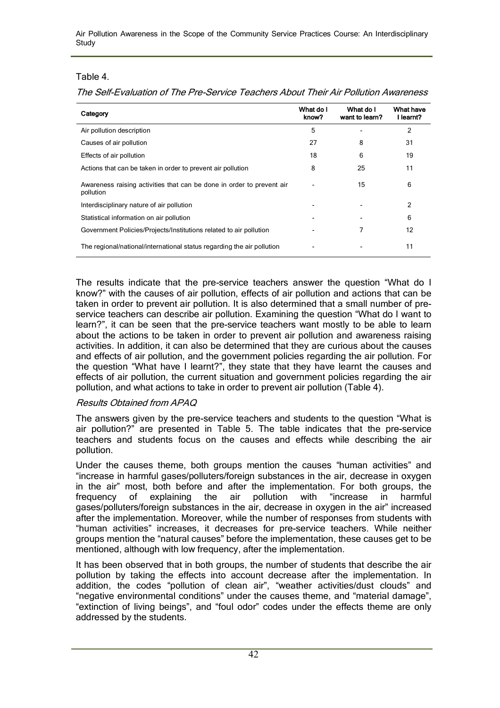Air Pollution Awareness in the Scope of the Community Service Practices Course: An Interdisciplinary **Study** 

#### Table 4.

The Self-Evaluation of The Pre-Service Teachers About Their Air Pollution Awareness

| Category                                                                           | What do I<br>know? | What do I<br>want to learn? | What have<br>l learnt? |
|------------------------------------------------------------------------------------|--------------------|-----------------------------|------------------------|
| Air pollution description                                                          | 5                  |                             | 2                      |
| Causes of air pollution                                                            | 27                 | 8                           | 31                     |
| Effects of air pollution                                                           | 18                 | 6                           | 19                     |
| Actions that can be taken in order to prevent air pollution                        | 8                  | 25                          | 11                     |
| Awareness raising activities that can be done in order to prevent air<br>pollution |                    | 15                          | 6                      |
| Interdisciplinary nature of air pollution                                          |                    |                             | 2                      |
| Statistical information on air pollution                                           |                    |                             | 6                      |
| Government Policies/Projects/Institutions related to air pollution                 |                    |                             | 12                     |
| The regional/national/international status regarding the air pollution             |                    |                             | 11                     |

The results indicate that the pre-service teachers answer the question "What do I know?" with the causes of air pollution, effects of air pollution and actions that can be taken in order to prevent air pollution. It is also determined that a small number of preservice teachers can describe air pollution. Examining the question "What do I want to learn?", it can be seen that the pre-service teachers want mostly to be able to learn about the actions to be taken in order to prevent air pollution and awareness raising activities. In addition, it can also be determined that they are curious about the causes and effects of air pollution, and the government policies regarding the air pollution. For the question "What have I learnt?", they state that they have learnt the causes and effects of air pollution, the current situation and government policies regarding the air pollution, and what actions to take in order to prevent air pollution (Table 4).

#### Results Obtained from APAQ

The answers given by the pre-service teachers and students to the question "What is air pollution?" are presented in Table 5. The table indicates that the pre-service teachers and students focus on the causes and effects while describing the air pollution.

Under the causes theme, both groups mention the causes "human activities" and "increase in harmful gases/polluters/foreign substances in the air, decrease in oxygen in the air" most, both before and after the implementation. For both groups, the frequency of explaining the air pollution with "increase in harmful frequency of explaining the air pollution with "increase in harmful gases/polluters/foreign substances in the air, decrease in oxygen in the air" increased after the implementation. Moreover, while the number of responses from students with "human activities" increases, it decreases for pre-service teachers. While neither groups mention the "natural causes" before the implementation, these causes get to be mentioned, although with low frequency, after the implementation.

It has been observed that in both groups, the number of students that describe the air pollution by taking the effects into account decrease after the implementation. In addition, the codes "pollution of clean air", "weather activities/dust clouds" and "negative environmental conditions" under the causes theme, and "material damage", "extinction of living beings", and "foul odor" codes under the effects theme are only addressed by the students.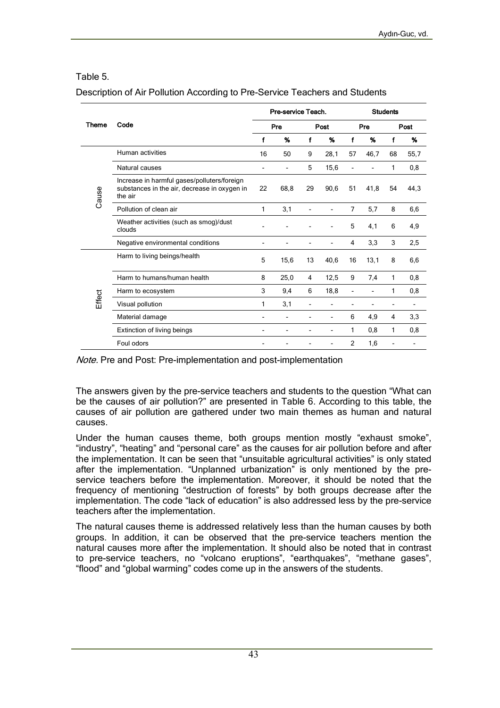### Table 5.

#### Description of Air Pollution According to Pre-Service Teachers and Students

|        |                                                                                                        |                          | Pre-service Teach.       |                          |                          | <b>Students</b> |      |      |      |  |
|--------|--------------------------------------------------------------------------------------------------------|--------------------------|--------------------------|--------------------------|--------------------------|-----------------|------|------|------|--|
| Theme  | Code                                                                                                   |                          | Pre                      |                          | Post                     |                 | Pre  | Post |      |  |
|        |                                                                                                        |                          | %                        | f                        | %                        | f               | %    | f    | %    |  |
| Cause  | Human activities                                                                                       | 16                       | 50                       | 9                        | 28,1                     | 57              | 46,7 | 68   | 55,7 |  |
|        | Natural causes                                                                                         | $\overline{\phantom{a}}$ | $\overline{a}$           | 5                        | 15,6                     |                 |      | 1    | 0,8  |  |
|        | Increase in harmful gases/polluters/foreign<br>substances in the air, decrease in oxygen in<br>the air | 22                       | 68.8                     | 29                       | 90,6                     | 51              | 41,8 | 54   | 44,3 |  |
|        | Pollution of clean air                                                                                 | 1                        | 3,1                      |                          |                          | 7               | 5,7  | 8    | 6,6  |  |
|        | Weather activities (such as smog)/dust<br>clouds                                                       |                          |                          |                          |                          | 5               | 4,1  | 6    | 4,9  |  |
|        | Negative environmental conditions                                                                      |                          |                          |                          |                          | 4               | 3,3  | 3    | 2,5  |  |
|        | Harm to living beings/health                                                                           | 5                        | 15,6                     | 13                       | 40,6                     | 16              | 13,1 | 8    | 6,6  |  |
|        | Harm to humans/human health                                                                            | 8                        | 25,0                     | 4                        | 12,5                     | 9               | 7.4  | 1    | 0,8  |  |
|        | Harm to ecosystem                                                                                      | 3                        | 9,4                      | 6                        | 18,8                     |                 |      | 1    | 0,8  |  |
| Effect | Visual pollution                                                                                       | 1                        | 3,1                      | $\overline{\phantom{0}}$ |                          |                 |      | ٠    |      |  |
|        | Material damage                                                                                        | $\blacksquare$           | $\overline{\phantom{0}}$ | -                        | $\overline{\phantom{0}}$ | 6               | 4,9  | 4    | 3,3  |  |
|        | Extinction of living beings                                                                            |                          |                          |                          |                          | 1               | 0,8  | 1    | 0,8  |  |
|        | Foul odors                                                                                             |                          |                          |                          |                          | $\overline{2}$  | 1,6  |      |      |  |

Note. Pre and Post: Pre-implementation and post-implementation

The answers given by the pre-service teachers and students to the question "What can be the causes of air pollution?" are presented in Table 6. According to this table, the causes of air pollution are gathered under two main themes as human and natural causes.

Under the human causes theme, both groups mention mostly "exhaust smoke", "industry", "heating" and "personal care" as the causes for air pollution before and after the implementation. It can be seen that "unsuitable agricultural activities" is only stated after the implementation. "Unplanned urbanization" is only mentioned by the preservice teachers before the implementation. Moreover, it should be noted that the frequency of mentioning "destruction of forests" by both groups decrease after the implementation. The code "lack of education" is also addressed less by the pre-service teachers after the implementation.

The natural causes theme is addressed relatively less than the human causes by both groups. In addition, it can be observed that the pre-service teachers mention the natural causes more after the implementation. It should also be noted that in contrast to pre-service teachers, no "volcano eruptions", "earthquakes", "methane gases", "flood" and "global warming" codes come up in the answers of the students.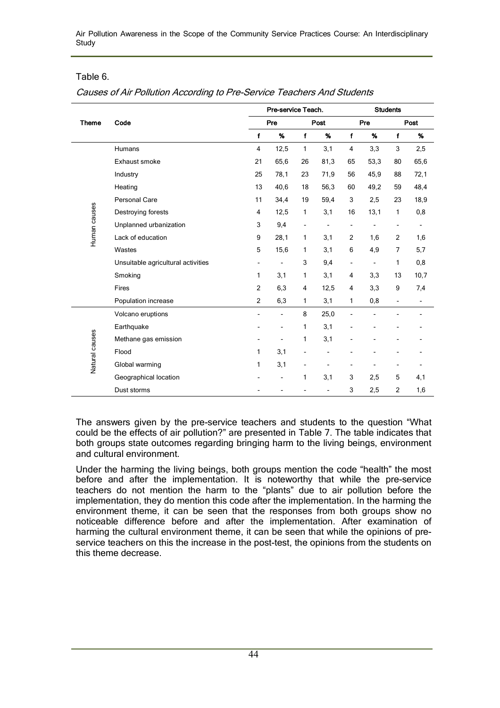Air Pollution Awareness in the Scope of the Community Service Practices Course: An Interdisciplinary **Study** 

### Table 6.

Causes of Air Pollution According to Pre-Service Teachers And Students

|                |                                    |                          | Pre-service Teach.       |                |      | <b>Students</b>          |                          |                          |                          |  |
|----------------|------------------------------------|--------------------------|--------------------------|----------------|------|--------------------------|--------------------------|--------------------------|--------------------------|--|
| <b>Theme</b>   | Code                               |                          | Pre                      |                | Post |                          | Pre                      |                          | Post                     |  |
|                |                                    | f                        | %                        | f              | %    | $\mathbf{f}$             | %                        | $\mathbf{f}$             | %                        |  |
|                | <b>Humans</b>                      | 4                        | 12,5                     | $\mathbf{1}$   | 3,1  | 4                        | 3,3                      | 3                        | 2,5                      |  |
| Human causes   | Exhaust smoke                      | 21                       | 65,6                     | 26             | 81,3 | 65                       | 53,3                     | 80                       | 65,6                     |  |
|                | Industry                           | 25                       | 78,1                     | 23             | 71,9 | 56                       | 45,9                     | 88                       | 72,1                     |  |
|                | Heating                            | 13                       | 40,6                     | 18             | 56,3 | 60                       | 49,2                     | 59                       | 48,4                     |  |
|                | Personal Care                      | 11                       | 34,4                     | 19             | 59,4 | 3                        | 2,5                      | 23                       | 18,9                     |  |
|                | Destroying forests                 | 4                        | 12,5                     | 1              | 3,1  | 16                       | 13,1                     | 1                        | 0,8                      |  |
|                | Unplanned urbanization             | 3                        | 9,4                      | -              |      | $\overline{\phantom{a}}$ |                          | $\overline{\phantom{a}}$ | $\overline{\phantom{a}}$ |  |
|                | Lack of education                  | 9                        | 28,1                     | 1              | 3,1  | $\overline{2}$           | 1,6                      | 2                        | 1,6                      |  |
|                | Wastes                             | 5                        | 15,6                     | $\mathbf{1}$   | 3,1  | 6                        | 4,9                      | $\overline{7}$           | 5,7                      |  |
|                | Unsuitable agricultural activities | $\overline{\phantom{a}}$ | $\overline{\phantom{0}}$ | 3              | 9,4  | $\overline{\phantom{0}}$ | $\overline{\phantom{a}}$ | 1                        | 0,8                      |  |
|                | Smoking                            | 1                        | 3,1                      | 1              | 3,1  | 4                        | 3,3                      | 13                       | 10,7                     |  |
|                | Fires                              | $\overline{2}$           | 6,3                      | 4              | 12,5 | $\overline{4}$           | 3,3                      | 9                        | 7,4                      |  |
|                | Population increase                | 2                        | 6,3                      | 1              | 3,1  | 1                        | 0,8                      | $\overline{\phantom{a}}$ | $\overline{\phantom{a}}$ |  |
|                | Volcano eruptions                  | $\overline{a}$           | $\overline{a}$           | 8              | 25,0 | $\overline{a}$           |                          |                          |                          |  |
|                | Earthquake                         |                          | $\blacksquare$           | 1              | 3,1  |                          |                          |                          |                          |  |
|                | Methane gas emission               |                          | $\overline{\phantom{0}}$ | 1              | 3,1  |                          |                          |                          |                          |  |
|                | Flood                              | 1                        | 3,1                      |                |      |                          |                          |                          |                          |  |
| Natural causes | Global warming                     | 1                        | 3,1                      | $\overline{a}$ |      | $\overline{a}$           |                          | $\overline{\phantom{a}}$ |                          |  |
|                | Geographical location              |                          | $\overline{\phantom{0}}$ | 1              | 3,1  | 3                        | 2,5                      | 5                        | 4,1                      |  |
|                | Dust storms                        |                          |                          |                |      | 3                        | 2,5                      | $\overline{2}$           | 1,6                      |  |

The answers given by the pre-service teachers and students to the question "What could be the effects of air pollution?" are presented in Table 7. The table indicates that both groups state outcomes regarding bringing harm to the living beings, environment and cultural environment.

Under the harming the living beings, both groups mention the code "health" the most before and after the implementation. It is noteworthy that while the pre-service teachers do not mention the harm to the "plants" due to air pollution before the implementation, they do mention this code after the implementation. In the harming the environment theme, it can be seen that the responses from both groups show no noticeable difference before and after the implementation. After examination of harming the cultural environment theme, it can be seen that while the opinions of preservice teachers on this the increase in the post-test, the opinions from the students on this theme decrease.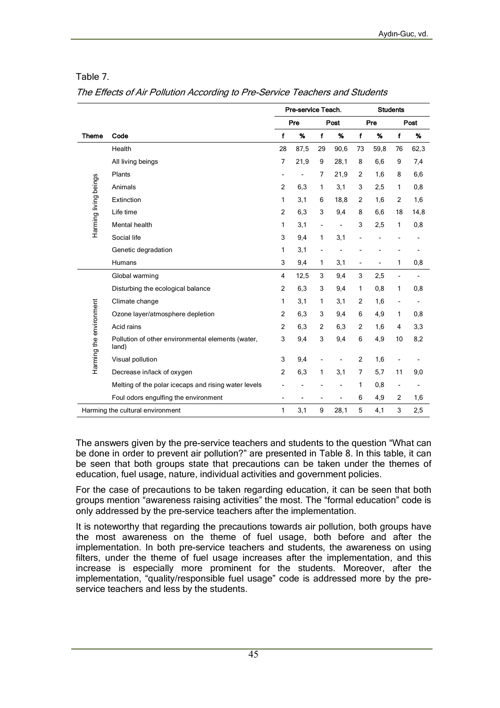#### Table 7.

| The Effects of Air Pollution According to Pre-Service Teachers and Students |  |  |  |
|-----------------------------------------------------------------------------|--|--|--|
|                                                                             |  |  |  |

|                         |                                                            |                | Pre-service Teach. |                | <b>Students</b> |                          |                          |                          |      |
|-------------------------|------------------------------------------------------------|----------------|--------------------|----------------|-----------------|--------------------------|--------------------------|--------------------------|------|
|                         |                                                            |                | Pre                |                | Post            |                          | Pre                      |                          | Post |
| <b>Theme</b>            | Code                                                       | $\mathbf f$    | %                  | $\mathbf f$    | %               | $\mathbf f$              | %                        | $\mathbf f$              | %    |
|                         | Health                                                     | 28             | 87,5               | 29             | 90,6            | 73                       | 59,8                     | 76                       | 62,3 |
|                         | All living beings                                          | 7              | 21,9               | 9              | 28,1            | 8                        | 6,6                      | 9                        | 7,4  |
|                         | Plants                                                     | $\overline{a}$ |                    | 7              | 21,9            | 2                        | 1,6                      | 8                        | 6,6  |
| Harming living beings   | Animals                                                    | 2              | 6,3                | 1              | 3,1             | 3                        | 2,5                      | 1                        | 0,8  |
|                         | Extinction                                                 | 1              | 3,1                | 6              | 18,8            | $\overline{2}$           | 1,6                      | 2                        | 1,6  |
|                         | Life time                                                  | $\overline{2}$ | 6,3                | 3              | 9,4             | 8                        | 6,6                      | 18                       | 14,8 |
|                         | Mental health                                              | 1              | 3,1                | ÷,             | $\overline{a}$  | 3                        | 2,5                      | 1                        | 0,8  |
|                         | Social life                                                | 3              | 9,4                | 1              | 3,1             |                          |                          |                          |      |
|                         | Genetic degradation                                        | 1              | 3,1                | $\overline{a}$ |                 |                          |                          |                          |      |
|                         | Humans                                                     | 3              | 9,4                | 1              | 3,1             | $\overline{\phantom{a}}$ | $\overline{\phantom{0}}$ | 1                        | 0,8  |
|                         | Global warming                                             | $\overline{4}$ | 12,5               | 3              | 9,4             | 3                        | 2,5                      | $\overline{\phantom{0}}$ |      |
|                         | Disturbing the ecological balance                          | $\overline{2}$ | 6,3                | 3              | 9,4             | 1                        | 0,8                      | 1                        | 0,8  |
|                         | Climate change                                             | 1              | 3,1                | 1              | 3,1             | $\overline{2}$           | 1,6                      | $\overline{\phantom{a}}$ |      |
|                         | Ozone layer/atmosphere depletion                           | $\overline{2}$ | 6,3                | 3              | 9,4             | 6                        | 4,9                      | 1                        | 0,8  |
|                         | Acid rains                                                 | $\overline{2}$ | 6,3                | $\overline{2}$ | 6,3             | $\overline{2}$           | 1,6                      | 4                        | 3,3  |
| Harming the environment | Pollution of other environmental elements (water,<br>land) | 3              | 9,4                | 3              | 9,4             | 6                        | 4,9                      | 10                       | 8,2  |
|                         | Visual pollution                                           | 3              | 9,4                |                |                 | $\overline{c}$           | 1,6                      | $\overline{a}$           |      |
|                         | Decrease in/lack of oxygen                                 | $\overline{2}$ | 6,3                | 1              | 3,1             | 7                        | 5,7                      | 11                       | 9,0  |
|                         | Melting of the polar icecaps and rising water levels       |                |                    |                |                 | 1                        | 0,8                      | $\overline{\phantom{a}}$ |      |
|                         | Foul odors engulfing the environment                       |                |                    |                | $\overline{a}$  | 6                        | 4,9                      | 2                        | 1,6  |
|                         | Harming the cultural environment                           | 1              | 3,1                | 9              | 28,1            | 5                        | 4,1                      | 3                        | 2,5  |

The answers given by the pre-service teachers and students to the question "What can be done in order to prevent air pollution?" are presented in Table 8. In this table, it can be seen that both groups state that precautions can be taken under the themes of education, fuel usage, nature, individual activities and government policies.

For the case of precautions to be taken regarding education, it can be seen that both groups mention "awareness raising activities" the most. The "formal education" code is only addressed by the pre-service teachers after the implementation.

It is noteworthy that regarding the precautions towards air pollution, both groups have the most awareness on the theme of fuel usage, both before and after the implementation. In both pre-service teachers and students, the awareness on using filters, under the theme of fuel usage increases after the implementation, and this increase is especially more prominent for the students. Moreover, after the implementation, "quality/responsible fuel usage" code is addressed more by the preservice teachers and less by the students.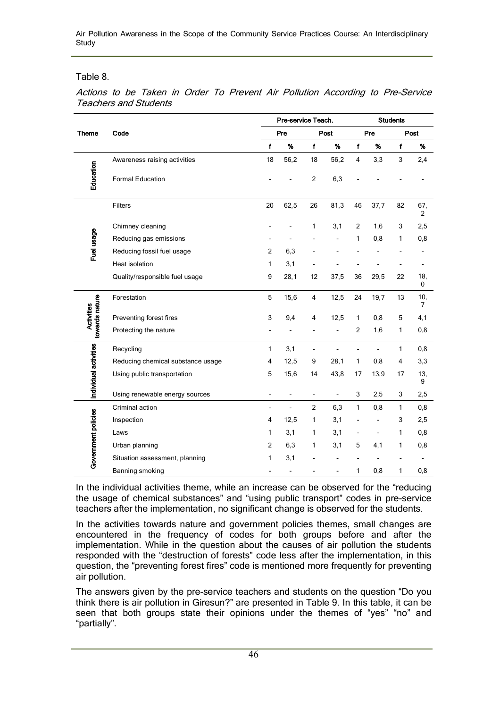Air Pollution Awareness in the Scope of the Community Service Practices Course: An Interdisciplinary Study

Table 8.

|                       |                                   |                | Pre-service Teach. |                          |                | <b>Students</b>         |                          |              |                       |  |
|-----------------------|-----------------------------------|----------------|--------------------|--------------------------|----------------|-------------------------|--------------------------|--------------|-----------------------|--|
| <b>Theme</b>          | Code                              |                | Pre                |                          | Post           | Pre                     |                          | Post         |                       |  |
|                       |                                   | $\mathbf{f}$   | %                  | $\mathbf{f}$             | %              | f                       | %                        | f            | %                     |  |
|                       | Awareness raising activities      | 18             | 56,2               | 18                       | 56,2           | $\overline{\mathbf{4}}$ | 3,3                      | 3            | 2,4                   |  |
| Education             | <b>Formal Education</b>           |                |                    | $\overline{2}$           | 6,3            |                         |                          |              |                       |  |
|                       | Filters                           | 20             | 62,5               | 26                       | 81,3           | 46                      | 37,7                     | 82           | 67,<br>$\overline{2}$ |  |
|                       | Chimney cleaning                  |                |                    | 1                        | 3,1            | $\overline{2}$          | 1,6                      | 3            | 2,5                   |  |
| Fuel usage            | Reducing gas emissions            |                |                    |                          |                | 1                       | 0,8                      | 1            | 0,8                   |  |
|                       | Reducing fossil fuel usage        | $\overline{2}$ | 6,3                |                          |                |                         |                          |              |                       |  |
|                       | Heat isolation                    | 1              | 3,1                |                          |                |                         |                          |              |                       |  |
|                       | Quality/responsible fuel usage    | 9              | 28,1               | 12                       | 37,5           | 36                      | 29,5                     | 22           | 18,<br>0              |  |
|                       | Forestation                       | 5              | 15,6               | $\overline{\mathbf{4}}$  | 12,5           | 24                      | 19,7                     | 13           | 10,<br>7              |  |
| Activities            | Preventing forest fires           | 3              | 9,4                | 4                        | 12,5           | 1                       | 0,8                      | 5            | 4,1                   |  |
| towards nature        | Protecting the nature             |                |                    |                          | Ĭ.             | 2                       | 1,6                      | 1            | 0,8                   |  |
|                       | Recycling                         | $\mathbf{1}$   | 3,1                | $\overline{a}$           | $\overline{a}$ | $\overline{a}$          | $\overline{a}$           | $\mathbf{1}$ | 0,8                   |  |
|                       | Reducing chemical substance usage | 4              | 12,5               | 9                        | 28,1           | 1                       | 0,8                      | 4            | 3,3                   |  |
| Individual activities | Using public transportation       | 5              | 15,6               | 14                       | 43,8           | 17                      | 13,9                     | 17           | 13,<br>9              |  |
|                       | Using renewable energy sources    |                |                    | $\overline{\phantom{a}}$ | $\overline{a}$ | 3                       | 2,5                      | 3            | 2,5                   |  |
|                       | Criminal action                   |                | $\overline{a}$     | $\overline{2}$           | 6,3            | $\mathbf{1}$            | 0,8                      | $\mathbf{1}$ | 0,8                   |  |
|                       | Inspection                        | 4              | 12,5               | 1                        | 3,1            |                         | $\overline{a}$           | 3            | 2,5                   |  |
|                       | Laws                              | 1              | 3,1                | 1                        | 3,1            |                         | $\overline{\phantom{0}}$ | 1            | 0,8                   |  |
| Government policies   | Urban planning                    | $\overline{2}$ | 6,3                | 1                        | 3,1            | 5                       | 4,1                      | 1            | 0,8                   |  |
|                       | Situation assessment, planning    | 1              | 3,1                |                          |                |                         |                          |              |                       |  |
|                       | Banning smoking                   |                |                    |                          |                | 1                       | 0,8                      | 1            | 0,8                   |  |

Actions to be Taken in Order To Prevent Air Pollution According to Pre-Service Teachers and Students

In the individual activities theme, while an increase can be observed for the "reducing the usage of chemical substances" and "using public transport" codes in pre-service teachers after the implementation, no significant change is observed for the students.

In the activities towards nature and government policies themes, small changes are encountered in the frequency of codes for both groups before and after the implementation. While in the question about the causes of air pollution the students responded with the "destruction of forests" code less after the implementation, in this question, the "preventing forest fires" code is mentioned more frequently for preventing air pollution.

The answers given by the pre-service teachers and students on the question "Do you think there is air pollution in Giresun?" are presented in Table 9. In this table, it can be seen that both groups state their opinions under the themes of "yes" "no" and "partially".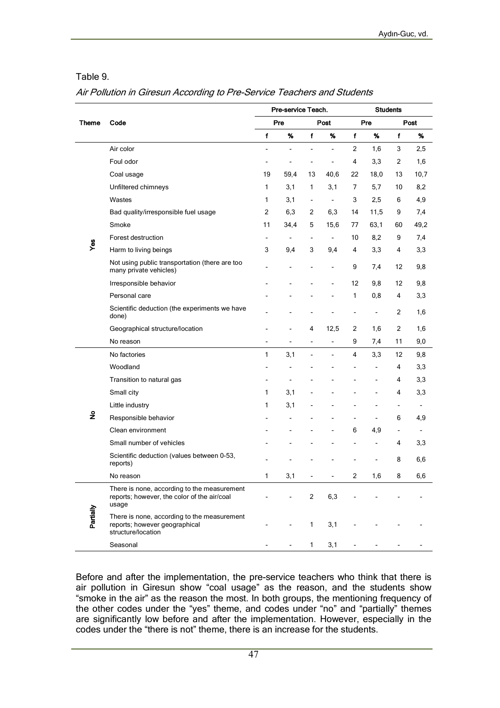#### Table 9.

#### Air Pollution in Giresun According to Pre-Service Teachers and Students

|              |                                                                                                     |                | Pre-service Teach. |                          |                          | <b>Students</b> |                |                |                          |  |
|--------------|-----------------------------------------------------------------------------------------------------|----------------|--------------------|--------------------------|--------------------------|-----------------|----------------|----------------|--------------------------|--|
| <b>Theme</b> | Code                                                                                                |                | Pre                |                          | Post                     |                 | Pre            | Post           |                          |  |
|              |                                                                                                     | f              | %                  | f                        | %                        | f               | %              | $\mathbf f$    | %                        |  |
|              | Air color                                                                                           |                | Ĭ.                 | Ĭ.                       | ÷,                       | $\overline{2}$  | 1,6            | 3              | 2,5                      |  |
|              | Foul odor                                                                                           |                |                    |                          |                          | 4               | 3,3            | 2              | 1,6                      |  |
|              | Coal usage                                                                                          | 19             | 59,4               | 13                       | 40,6                     | 22              | 18,0           | 13             | 10,7                     |  |
|              | Unfiltered chimneys                                                                                 | 1              | 3,1                | 1                        | 3,1                      | 7               | 5,7            | 10             | 8,2                      |  |
|              | Wastes                                                                                              | 1              | 3,1                | $\overline{\phantom{a}}$ | ÷,                       | 3               | 2,5            | 6              | 4,9                      |  |
|              | Bad quality/irresponsible fuel usage                                                                | 2              | 6,3                | $\overline{2}$           | 6,3                      | 14              | 11,5           | 9              | 7,4                      |  |
|              | Smoke                                                                                               | 11             | 34,4               | 5                        | 15,6                     | 77              | 63,1           | 60             | 49,2                     |  |
|              | Forest destruction                                                                                  | $\blacksquare$ | $\blacksquare$     | $\overline{\phantom{a}}$ | $\overline{\phantom{a}}$ | 10              | 8,2            | 9              | 7,4                      |  |
| Yes          | Harm to living beings                                                                               | 3              | 9,4                | 3                        | 9,4                      | 4               | 3,3            | 4              | 3,3                      |  |
|              | Not using public transportation (there are too<br>many private vehicles)                            |                |                    |                          | $\overline{a}$           | 9               | 7,4            | 12             | 9,8                      |  |
|              | Irresponsible behavior                                                                              |                |                    |                          | L,                       | 12              | 9,8            | 12             | 9,8                      |  |
|              | Personal care                                                                                       |                |                    |                          |                          | 1               | 0,8            | 4              | 3,3                      |  |
|              | Scientific deduction (the experiments we have<br>done)                                              |                |                    |                          |                          |                 |                | 2              | 1,6                      |  |
|              | Geographical structure/location                                                                     |                |                    | 4                        | 12,5                     | 2               | 1,6            | 2              | 1,6                      |  |
|              | No reason                                                                                           | $\overline{a}$ | $\overline{a}$     | $\overline{a}$           | $\overline{a}$           | 9               | 7,4            | 11             | 9,0                      |  |
|              | No factories                                                                                        | 1              | 3,1                | L,                       | $\overline{\phantom{a}}$ | 4               | 3,3            | 12             | 9,8                      |  |
|              | Woodland                                                                                            |                |                    |                          |                          |                 | $\overline{a}$ | 4              | 3,3                      |  |
|              | Transition to natural gas                                                                           |                |                    |                          |                          |                 | $\overline{a}$ | 4              | 3,3                      |  |
|              | Small city                                                                                          | 1              | 3,1                |                          |                          |                 |                | 4              | 3,3                      |  |
|              | Little industry                                                                                     | 1              | 3,1                |                          |                          |                 | $\overline{a}$ | $\overline{a}$ | $\overline{\phantom{a}}$ |  |
| $\tilde{z}$  | Responsible behavior                                                                                |                |                    |                          |                          |                 |                | 6              | 4,9                      |  |
|              | Clean environment                                                                                   |                |                    |                          |                          | 6               | 4,9            | $\overline{a}$ | $\overline{\phantom{a}}$ |  |
|              | Small number of vehicles                                                                            |                |                    |                          |                          |                 |                | 4              | 3,3                      |  |
|              | Scientific deduction (values between 0-53,<br>reports)                                              |                |                    |                          |                          |                 |                | 8              | 6,6                      |  |
|              | No reason                                                                                           | 1              | 3,1                | $\overline{\phantom{a}}$ | -                        | 2               | 1,6            | 8              | 6,6                      |  |
|              | There is none, according to the measurement<br>reports; however, the color of the air/coal<br>usage |                |                    | $\overline{c}$           | 6,3                      |                 |                |                |                          |  |
| Partially    | There is none, according to the measurement<br>reports; however geographical<br>structure/location  |                |                    | $\mathbf{1}$             | 3,1                      |                 |                |                |                          |  |
|              | Seasonal                                                                                            |                |                    | $\mathbf{1}$             | 3,1                      |                 |                |                |                          |  |

Before and after the implementation, the pre-service teachers who think that there is air pollution in Giresun show "coal usage" as the reason, and the students show "smoke in the air" as the reason the most. In both groups, the mentioning frequency of the other codes under the "yes" theme, and codes under "no" and "partially" themes are significantly low before and after the implementation. However, especially in the codes under the "there is not" theme, there is an increase for the students.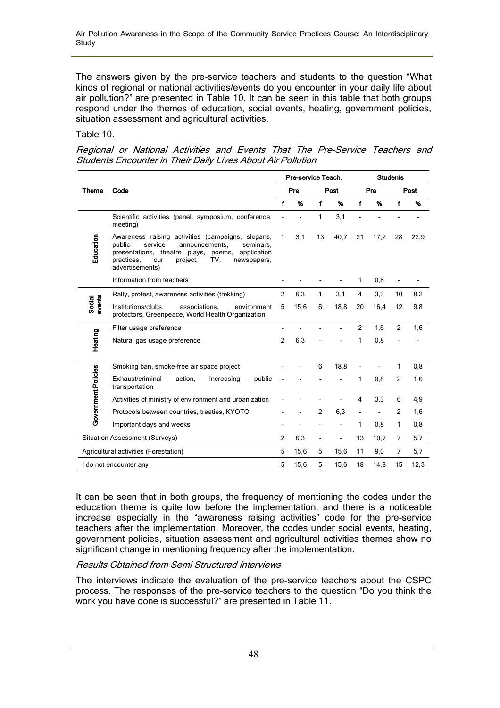The answers given by the pre-service teachers and students to the question "What kinds of regional or national activities/events do you encounter in your daily life about air pollution?" are presented in Table 10. It can be seen in this table that both groups respond under the themes of education, social events, heating, government policies, situation assessment and agricultural activities.

Table 10.

Regional or National Activities and Events That The Pre-Service Teachers and Students Encounter in Their Daily Lives About Air Pollution

|                            |                                                                                                                                                                                                                                           |                | Pre-service Teach. |                          |                          | <b>Students</b> |      |                |      |
|----------------------------|-------------------------------------------------------------------------------------------------------------------------------------------------------------------------------------------------------------------------------------------|----------------|--------------------|--------------------------|--------------------------|-----------------|------|----------------|------|
| Theme                      | Code                                                                                                                                                                                                                                      |                | Pre                |                          | Post                     | Pre             |      | Post           |      |
|                            |                                                                                                                                                                                                                                           | f              | %                  | f                        | %                        | f               | %    | f              | %    |
|                            | Scientific activities (panel, symposium, conference,<br>meeting)                                                                                                                                                                          |                |                    | 1                        | 3,1                      |                 |      |                |      |
| Education                  | Awareness raising activities (campaigns, slogans,<br>service<br>public<br>announcements,<br>seminars.<br>presentations, theatre plays,<br>application<br>poems,<br>TV.<br>practices.<br>our<br>project.<br>newspapers,<br>advertisements) | 1              | 3,1                | 13                       | 40,7                     | 21              | 17,2 | 28             | 22,9 |
|                            | Information from teachers                                                                                                                                                                                                                 |                |                    |                          |                          | 1               | 0,8  |                |      |
|                            | Rally, protest, awareness activities (trekking)                                                                                                                                                                                           | 2              | 6,3                | 1                        | 3,1                      | 4               | 3,3  | 10             | 8,2  |
| Social<br>events           | Institutions/clubs,<br>associations.<br>environment<br>protectors, Greenpeace, World Health Organization                                                                                                                                  | 5              | 15,6               | 6                        | 18,8                     | 20              | 16,4 | 12             | 9,8  |
|                            | Filter usage preference                                                                                                                                                                                                                   |                |                    |                          |                          | 2               | 1,6  | 2              | 1,6  |
| Heating                    | Natural gas usage preference                                                                                                                                                                                                              | $\overline{2}$ | 6,3                |                          |                          | 1               | 0,8  |                |      |
|                            | Smoking ban, smoke-free air space project                                                                                                                                                                                                 |                |                    | 6                        | 18,8                     |                 |      | 1              | 0,8  |
| <b>Government Policies</b> | Exhaust/criminal<br>public<br>action,<br>increasing<br>transportation                                                                                                                                                                     |                |                    |                          |                          | 1               | 0,8  | 2              | 1,6  |
|                            | Activities of ministry of environment and urbanization                                                                                                                                                                                    |                |                    |                          |                          | 4               | 3,3  | 6              | 4,9  |
|                            | Protocols between countries, treaties, KYOTO                                                                                                                                                                                              |                |                    | 2                        | 6,3                      |                 |      | 2              | 1,6  |
|                            | Important days and weeks                                                                                                                                                                                                                  |                |                    | $\overline{\phantom{0}}$ |                          | 1               | 0,8  | 1              | 0,8  |
|                            | <b>Situation Assessment (Surveys)</b>                                                                                                                                                                                                     | 2              | 6,3                | $\overline{\phantom{a}}$ | $\overline{\phantom{0}}$ | 13              | 10,7 | $\overline{7}$ | 5,7  |
|                            | Agricultural activities (Forestation)                                                                                                                                                                                                     | 5              | 15,6               | 5                        | 15,6                     | 11              | 9,0  | $\overline{7}$ | 5,7  |
|                            | I do not encounter any                                                                                                                                                                                                                    | 5              | 15,6               | 5                        | 15,6                     | 18              | 14,8 | 15             | 12,3 |

It can be seen that in both groups, the frequency of mentioning the codes under the education theme is quite low before the implementation, and there is a noticeable increase especially in the "awareness raising activities" code for the pre-service teachers after the implementation. Moreover, the codes under social events, heating, government policies, situation assessment and agricultural activities themes show no significant change in mentioning frequency after the implementation.

### Results Obtained from Semi Structured Interviews

The interviews indicate the evaluation of the pre-service teachers about the CSPC process. The responses of the pre-service teachers to the question "Do you think the work you have done is successful?" are presented in Table 11.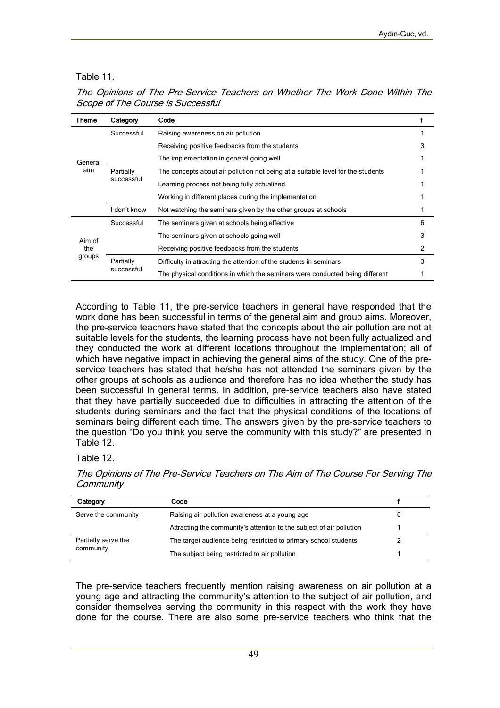## Table 11.

| Theme   | Category                                                                                   | Code                                                                            |   |  |
|---------|--------------------------------------------------------------------------------------------|---------------------------------------------------------------------------------|---|--|
|         | Successful                                                                                 | Raising awareness on air pollution                                              |   |  |
|         |                                                                                            | Receiving positive feedbacks from the students                                  |   |  |
| General |                                                                                            | The implementation in general going well                                        |   |  |
| aim     | Partially<br>successful                                                                    | The concepts about air pollution not being at a suitable level for the students |   |  |
|         |                                                                                            | Learning process not being fully actualized                                     |   |  |
|         |                                                                                            | Working in different places during the implementation                           |   |  |
|         | don't know<br>Not watching the seminars given by the other groups at schools               |                                                                                 |   |  |
|         | Successful                                                                                 | The seminars given at schools being effective                                   | 6 |  |
| Aim of  | The seminars given at schools going well                                                   |                                                                                 | 3 |  |
| the     |                                                                                            | Receiving positive feedbacks from the students                                  | 2 |  |
| groups  | Partially                                                                                  | Difficulty in attracting the attention of the students in seminars              | 3 |  |
|         | successful<br>The physical conditions in which the seminars were conducted being different |                                                                                 |   |  |

The Opinions of The Pre-Service Teachers on Whether The Work Done Within The Scope of The Course is Successful

According to Table 11, the pre-service teachers in general have responded that the work done has been successful in terms of the general aim and group aims. Moreover, the pre-service teachers have stated that the concepts about the air pollution are not at suitable levels for the students, the learning process have not been fully actualized and they conducted the work at different locations throughout the implementation; all of which have negative impact in achieving the general aims of the study. One of the preservice teachers has stated that he/she has not attended the seminars given by the other groups at schools as audience and therefore has no idea whether the study has been successful in general terms. In addition, pre-service teachers also have stated that they have partially succeeded due to difficulties in attracting the attention of the students during seminars and the fact that the physical conditions of the locations of seminars being different each time. The answers given by the pre-service teachers to the question "Do you think you serve the community with this study?" are presented in Table 12.

### Table 12.

The Opinions of The Pre-Service Teachers on The Aim of The Course For Serving The **Community** 

| Category            | Code                                                                                                             |   |
|---------------------|------------------------------------------------------------------------------------------------------------------|---|
| Serve the community | Raising air pollution awareness at a young age                                                                   | 6 |
|                     | Attracting the community's attention to the subject of air pollution                                             |   |
| Partially serve the | The target audience being restricted to primary school students<br>The subject being restricted to air pollution |   |
| community           |                                                                                                                  |   |

The pre-service teachers frequently mention raising awareness on air pollution at a young age and attracting the community's attention to the subject of air pollution, and consider themselves serving the community in this respect with the work they have done for the course. There are also some pre-service teachers who think that the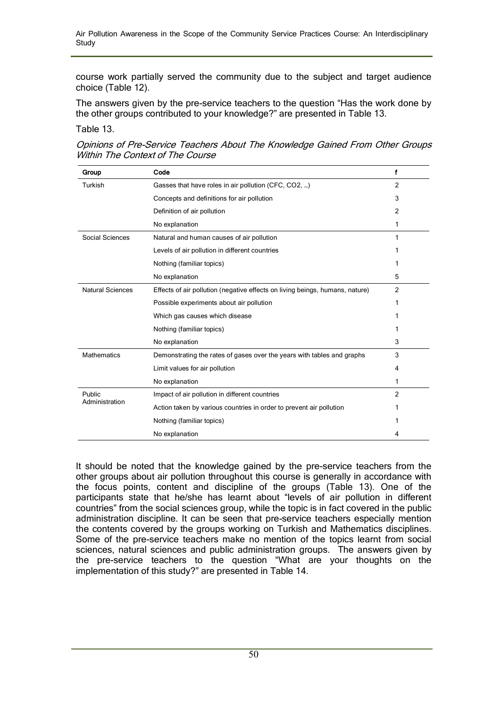course work partially served the community due to the subject and target audience choice (Table 12).

The answers given by the pre-service teachers to the question "Has the work done by the other groups contributed to your knowledge?" are presented in Table 13.

#### Table 13.

| Opinions of Pre-Service Teachers About The Knowledge Gained From Other Groups |  |  |
|-------------------------------------------------------------------------------|--|--|
| Within The Context of The Course                                              |  |  |

| Group                   | Code                                                                         | f              |
|-------------------------|------------------------------------------------------------------------------|----------------|
| Turkish                 | Gasses that have roles in air pollution (CFC, CO2, )                         | $\mathfrak{p}$ |
|                         | Concepts and definitions for air pollution                                   | 3              |
|                         | Definition of air pollution                                                  | 2              |
|                         | No explanation                                                               | 1              |
| Social Sciences         | Natural and human causes of air pollution                                    | 1              |
|                         | Levels of air pollution in different countries                               |                |
|                         | Nothing (familiar topics)                                                    | 1              |
|                         | No explanation                                                               | 5              |
| <b>Natural Sciences</b> | Effects of air pollution (negative effects on living beings, humans, nature) | $\overline{2}$ |
|                         | Possible experiments about air pollution                                     | 1              |
|                         | Which gas causes which disease                                               |                |
|                         | Nothing (familiar topics)                                                    | 1              |
|                         | No explanation                                                               | 3              |
| <b>Mathematics</b>      | Demonstrating the rates of gases over the years with tables and graphs       | 3              |
|                         | Limit values for air pollution                                               | 4              |
|                         | No explanation                                                               | 1              |
| Public                  | Impact of air pollution in different countries                               | 2              |
| Administration          | Action taken by various countries in order to prevent air pollution          |                |
|                         | Nothing (familiar topics)                                                    |                |
|                         | No explanation                                                               | 4              |

It should be noted that the knowledge gained by the pre-service teachers from the other groups about air pollution throughout this course is generally in accordance with the focus points, content and discipline of the groups (Table 13). One of the participants state that he/she has learnt about "levels of air pollution in different countries" from the social sciences group, while the topic is in fact covered in the public administration discipline. It can be seen that pre-service teachers especially mention the contents covered by the groups working on Turkish and Mathematics disciplines. Some of the pre-service teachers make no mention of the topics learnt from social sciences, natural sciences and public administration groups. The answers given by the pre-service teachers to the question "What are your thoughts on the implementation of this study?" are presented in Table 14.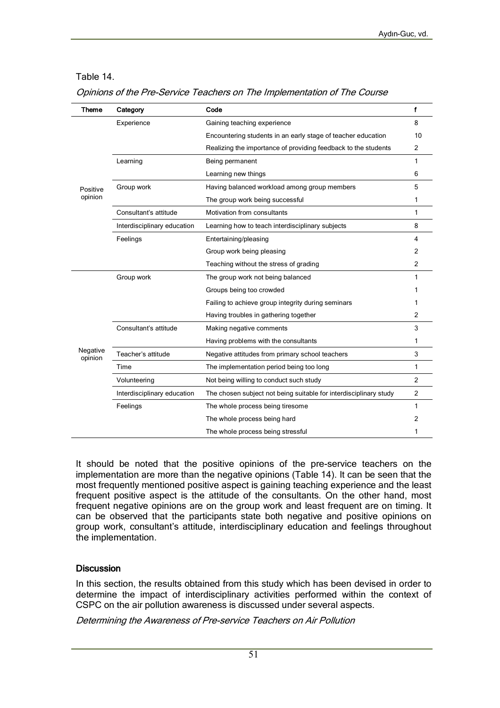### Table 14.

|  |  |  | Opinions of the Pre-Service Teachers on The Implementation of The Course |  |
|--|--|--|--------------------------------------------------------------------------|--|
|  |  |  |                                                                          |  |

| <b>Theme</b>        | Category                    | Code                                                              | f              |  |  |
|---------------------|-----------------------------|-------------------------------------------------------------------|----------------|--|--|
|                     | Experience                  | Gaining teaching experience                                       |                |  |  |
|                     |                             | Encountering students in an early stage of teacher education      |                |  |  |
|                     |                             | Realizing the importance of providing feedback to the students    |                |  |  |
|                     | Learning                    | Being permanent                                                   |                |  |  |
|                     |                             | Learning new things                                               |                |  |  |
| Positive            | Group work                  | Having balanced workload among group members                      |                |  |  |
| opinion             |                             | The group work being successful                                   |                |  |  |
|                     | Consultant's attitude       | Motivation from consultants                                       | 1              |  |  |
|                     | Interdisciplinary education | Learning how to teach interdisciplinary subjects                  | 8              |  |  |
|                     | Feelings                    | Entertaining/pleasing                                             |                |  |  |
|                     |                             | Group work being pleasing                                         | $\overline{2}$ |  |  |
|                     |                             | Teaching without the stress of grading                            | $\overline{2}$ |  |  |
|                     | Group work                  | The group work not being balanced                                 |                |  |  |
|                     |                             | Groups being too crowded                                          |                |  |  |
|                     |                             | Failing to achieve group integrity during seminars                | 1              |  |  |
|                     |                             | Having troubles in gathering together                             | 2              |  |  |
|                     | Consultant's attitude       | Making negative comments                                          | 3              |  |  |
|                     |                             | Having problems with the consultants                              |                |  |  |
| Negative<br>opinion | Teacher's attitude          | Negative attitudes from primary school teachers                   |                |  |  |
|                     | Time                        | The implementation period being too long                          |                |  |  |
|                     | Volunteering                | Not being willing to conduct such study                           |                |  |  |
|                     | Interdisciplinary education | The chosen subject not being suitable for interdisciplinary study | $\overline{2}$ |  |  |
|                     | Feelings                    | The whole process being tiresome                                  | 1              |  |  |
|                     |                             | The whole process being hard                                      | 2              |  |  |
|                     |                             | The whole process being stressful                                 | 1              |  |  |

It should be noted that the positive opinions of the pre-service teachers on the implementation are more than the negative opinions (Table 14). It can be seen that the most frequently mentioned positive aspect is gaining teaching experience and the least frequent positive aspect is the attitude of the consultants. On the other hand, most frequent negative opinions are on the group work and least frequent are on timing. It can be observed that the participants state both negative and positive opinions on group work, consultant's attitude, interdisciplinary education and feelings throughout the implementation.

#### **Discussion**

In this section, the results obtained from this study which has been devised in order to determine the impact of interdisciplinary activities performed within the context of CSPC on the air pollution awareness is discussed under several aspects.

Determining the Awareness of Pre-service Teachers on Air Pollution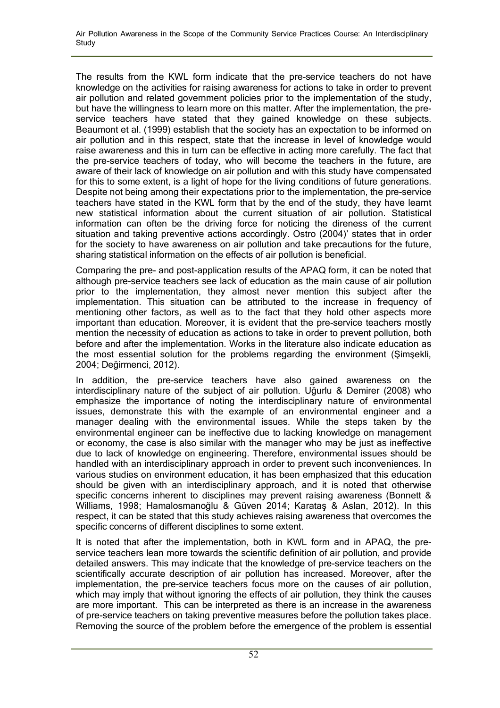The results from the KWL form indicate that the pre-service teachers do not have knowledge on the activities for raising awareness for actions to take in order to prevent air pollution and related government policies prior to the implementation of the study, but have the willingness to learn more on this matter. After the implementation, the preservice teachers have stated that they gained knowledge on these subjects. Beaumont et al. (1999) establish that the society has an expectation to be informed on air pollution and in this respect, state that the increase in level of knowledge would raise awareness and this in turn can be effective in acting more carefully. The fact that the pre-service teachers of today, who will become the teachers in the future, are aware of their lack of knowledge on air pollution and with this study have compensated for this to some extent, is a light of hope for the living conditions of future generations. Despite not being among their expectations prior to the implementation, the pre-service teachers have stated in the KWL form that by the end of the study, they have learnt new statistical information about the current situation of air pollution. Statistical information can often be the driving force for noticing the direness of the current situation and taking preventive actions accordingly. Ostro (2004)' states that in order for the society to have awareness on air pollution and take precautions for the future, sharing statistical information on the effects of air pollution is beneficial.

Comparing the pre- and post-application results of the APAQ form, it can be noted that although pre-service teachers see lack of education as the main cause of air pollution prior to the implementation, they almost never mention this subject after the implementation. This situation can be attributed to the increase in frequency of mentioning other factors, as well as to the fact that they hold other aspects more important than education. Moreover, it is evident that the pre-service teachers mostly mention the necessity of education as actions to take in order to prevent pollution, both before and after the implementation. Works in the literature also indicate education as the most essential solution for the problems regarding the environment (Şimşekli, 2004; Değirmenci, 2012).

In addition, the pre-service teachers have also gained awareness on the interdisciplinary nature of the subject of air pollution. Uğurlu & Demirer (2008) who emphasize the importance of noting the interdisciplinary nature of environmental issues, demonstrate this with the example of an environmental engineer and a manager dealing with the environmental issues. While the steps taken by the environmental engineer can be ineffective due to lacking knowledge on management or economy, the case is also similar with the manager who may be just as ineffective due to lack of knowledge on engineering. Therefore, environmental issues should be handled with an interdisciplinary approach in order to prevent such inconveniences. In various studies on environment education, it has been emphasized that this education should be given with an interdisciplinary approach, and it is noted that otherwise specific concerns inherent to disciplines may prevent raising awareness (Bonnett & Williams, 1998; Hamalosmanoğlu & Güven 2014; Karataş & Aslan, 2012). In this respect, it can be stated that this study achieves raising awareness that overcomes the specific concerns of different disciplines to some extent.

It is noted that after the implementation, both in KWL form and in APAQ, the preservice teachers lean more towards the scientific definition of air pollution, and provide detailed answers. This may indicate that the knowledge of pre-service teachers on the scientifically accurate description of air pollution has increased. Moreover, after the implementation, the pre-service teachers focus more on the causes of air pollution, which may imply that without ignoring the effects of air pollution, they think the causes are more important. This can be interpreted as there is an increase in the awareness of pre-service teachers on taking preventive measures before the pollution takes place. Removing the source of the problem before the emergence of the problem is essential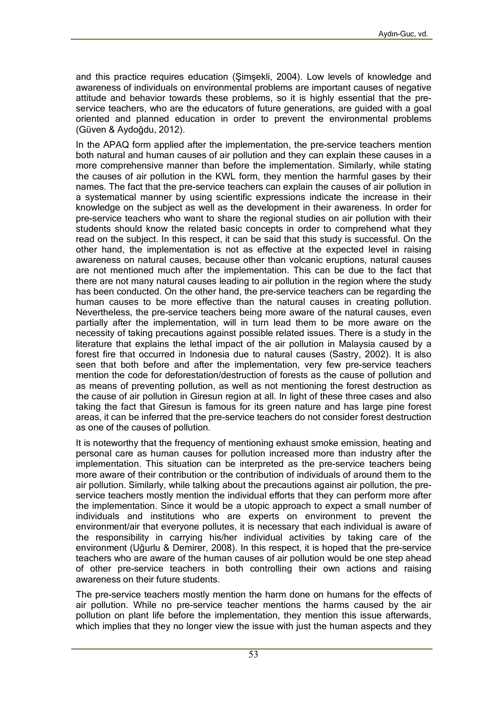and this practice requires education (Şimşekli, 2004). Low levels of knowledge and awareness of individuals on environmental problems are important causes of negative attitude and behavior towards these problems, so it is highly essential that the preservice teachers, who are the educators of future generations, are guided with a goal oriented and planned education in order to prevent the environmental problems (Güven & Aydoğdu, 2012).

In the APAQ form applied after the implementation, the pre-service teachers mention both natural and human causes of air pollution and they can explain these causes in a more comprehensive manner than before the implementation. Similarly, while stating the causes of air pollution in the KWL form, they mention the harmful gases by their names. The fact that the pre-service teachers can explain the causes of air pollution in a systematical manner by using scientific expressions indicate the increase in their knowledge on the subject as well as the development in their awareness. In order for pre-service teachers who want to share the regional studies on air pollution with their students should know the related basic concepts in order to comprehend what they read on the subject. In this respect, it can be said that this study is successful. On the other hand, the implementation is not as effective at the expected level in raising awareness on natural causes, because other than volcanic eruptions, natural causes are not mentioned much after the implementation. This can be due to the fact that there are not many natural causes leading to air pollution in the region where the study has been conducted. On the other hand, the pre-service teachers can be regarding the human causes to be more effective than the natural causes in creating pollution. Nevertheless, the pre-service teachers being more aware of the natural causes, even partially after the implementation, will in turn lead them to be more aware on the necessity of taking precautions against possible related issues. There is a study in the literature that explains the lethal impact of the air pollution in Malaysia caused by a forest fire that occurred in Indonesia due to natural causes (Sastry, 2002). It is also seen that both before and after the implementation, very few pre-service teachers mention the code for deforestation/destruction of forests as the cause of pollution and as means of preventing pollution, as well as not mentioning the forest destruction as the cause of air pollution in Giresun region at all. In light of these three cases and also taking the fact that Giresun is famous for its green nature and has large pine forest areas, it can be inferred that the pre-service teachers do not consider forest destruction as one of the causes of pollution.

It is noteworthy that the frequency of mentioning exhaust smoke emission, heating and personal care as human causes for pollution increased more than industry after the implementation. This situation can be interpreted as the pre-service teachers being more aware of their contribution or the contribution of individuals of around them to the air pollution. Similarly, while talking about the precautions against air pollution, the preservice teachers mostly mention the individual efforts that they can perform more after the implementation. Since it would be a utopic approach to expect a small number of individuals and institutions who are experts on environment to prevent the environment/air that everyone pollutes, it is necessary that each individual is aware of the responsibility in carrying his/her individual activities by taking care of the environment (Uğurlu & Demirer, 2008). In this respect, it is hoped that the pre-service teachers who are aware of the human causes of air pollution would be one step ahead of other pre-service teachers in both controlling their own actions and raising awareness on their future students.

The pre-service teachers mostly mention the harm done on humans for the effects of air pollution. While no pre-service teacher mentions the harms caused by the air pollution on plant life before the implementation, they mention this issue afterwards, which implies that they no longer view the issue with just the human aspects and they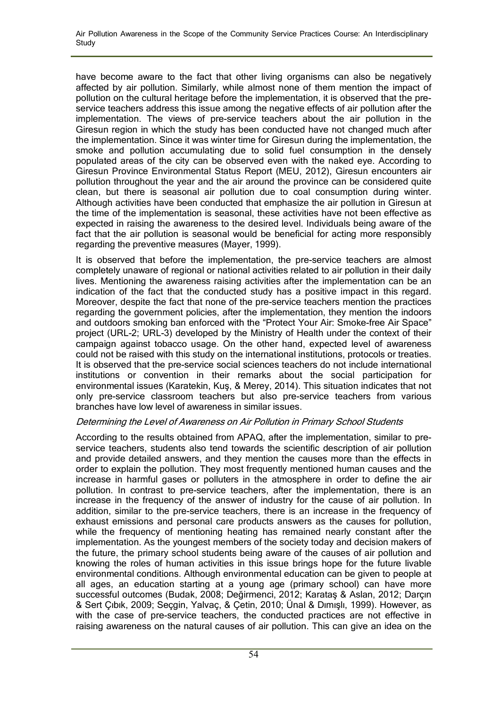have become aware to the fact that other living organisms can also be negatively affected by air pollution. Similarly, while almost none of them mention the impact of pollution on the cultural heritage before the implementation, it is observed that the preservice teachers address this issue among the negative effects of air pollution after the implementation. The views of pre-service teachers about the air pollution in the Giresun region in which the study has been conducted have not changed much after the implementation. Since it was winter time for Giresun during the implementation, the smoke and pollution accumulating due to solid fuel consumption in the densely populated areas of the city can be observed even with the naked eye. According to Giresun Province Environmental Status Report (MEU, 2012), Giresun encounters air pollution throughout the year and the air around the province can be considered quite clean, but there is seasonal air pollution due to coal consumption during winter. Although activities have been conducted that emphasize the air pollution in Giresun at the time of the implementation is seasonal, these activities have not been effective as expected in raising the awareness to the desired level. Individuals being aware of the fact that the air pollution is seasonal would be beneficial for acting more responsibly regarding the preventive measures (Mayer, 1999).

It is observed that before the implementation, the pre-service teachers are almost completely unaware of regional or national activities related to air pollution in their daily lives. Mentioning the awareness raising activities after the implementation can be an indication of the fact that the conducted study has a positive impact in this regard. Moreover, despite the fact that none of the pre-service teachers mention the practices regarding the government policies, after the implementation, they mention the indoors and outdoors smoking ban enforced with the "Protect Your Air: Smoke-free Air Space" project (URL-2; URL-3) developed by the Ministry of Health under the context of their campaign against tobacco usage. On the other hand, expected level of awareness could not be raised with this study on the international institutions, protocols or treaties. It is observed that the pre-service social sciences teachers do not include international institutions or convention in their remarks about the social participation for environmental issues (Karatekin, Kuş, & Merey, 2014). This situation indicates that not only pre-service classroom teachers but also pre-service teachers from various branches have low level of awareness in similar issues.

### Determining the Level of Awareness on Air Pollution in Primary School Students

According to the results obtained from APAQ, after the implementation, similar to preservice teachers, students also tend towards the scientific description of air pollution and provide detailed answers, and they mention the causes more than the effects in order to explain the pollution. They most frequently mentioned human causes and the increase in harmful gases or polluters in the atmosphere in order to define the air pollution. In contrast to pre-service teachers, after the implementation, there is an increase in the frequency of the answer of industry for the cause of air pollution. In addition, similar to the pre-service teachers, there is an increase in the frequency of exhaust emissions and personal care products answers as the causes for pollution, while the frequency of mentioning heating has remained nearly constant after the implementation. As the youngest members of the society today and decision makers of the future, the primary school students being aware of the causes of air pollution and knowing the roles of human activities in this issue brings hope for the future livable environmental conditions. Although environmental education can be given to people at all ages, an education starting at a young age (primary school) can have more successful outcomes (Budak, 2008; Değirmenci, 2012; Karataş & Aslan, 2012; Darçın & Sert Çıbık, 2009; Seçgin, Yalvaç, & Çetin, 2010; Ünal & Dımışlı, 1999). However, as with the case of pre-service teachers, the conducted practices are not effective in raising awareness on the natural causes of air pollution. This can give an idea on the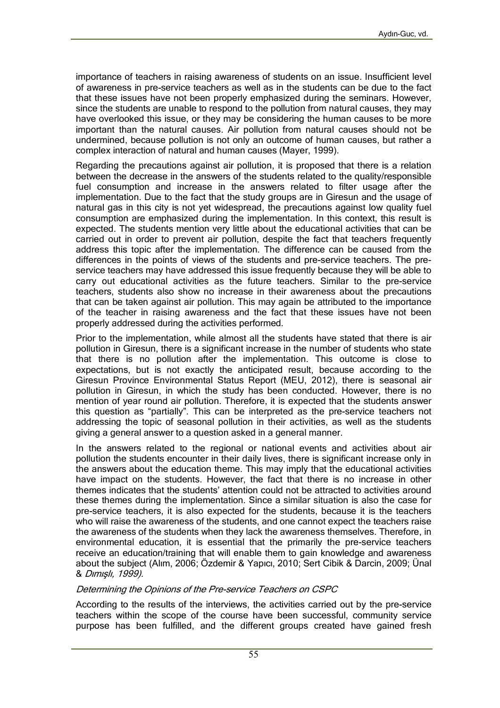importance of teachers in raising awareness of students on an issue. Insufficient level of awareness in pre-service teachers as well as in the students can be due to the fact that these issues have not been properly emphasized during the seminars. However, since the students are unable to respond to the pollution from natural causes, they may have overlooked this issue, or they may be considering the human causes to be more important than the natural causes. Air pollution from natural causes should not be undermined, because pollution is not only an outcome of human causes, but rather a complex interaction of natural and human causes (Mayer, 1999).

Regarding the precautions against air pollution, it is proposed that there is a relation between the decrease in the answers of the students related to the quality/responsible fuel consumption and increase in the answers related to filter usage after the implementation. Due to the fact that the study groups are in Giresun and the usage of natural gas in this city is not yet widespread, the precautions against low quality fuel consumption are emphasized during the implementation. In this context, this result is expected. The students mention very little about the educational activities that can be carried out in order to prevent air pollution, despite the fact that teachers frequently address this topic after the implementation. The difference can be caused from the differences in the points of views of the students and pre-service teachers. The preservice teachers may have addressed this issue frequently because they will be able to carry out educational activities as the future teachers. Similar to the pre-service teachers, students also show no increase in their awareness about the precautions that can be taken against air pollution. This may again be attributed to the importance of the teacher in raising awareness and the fact that these issues have not been properly addressed during the activities performed.

Prior to the implementation, while almost all the students have stated that there is air pollution in Giresun, there is a significant increase in the number of students who state that there is no pollution after the implementation. This outcome is close to expectations, but is not exactly the anticipated result, because according to the Giresun Province Environmental Status Report (MEU, 2012), there is seasonal air pollution in Giresun, in which the study has been conducted. However, there is no mention of year round air pollution. Therefore, it is expected that the students answer this question as "partially". This can be interpreted as the pre-service teachers not addressing the topic of seasonal pollution in their activities, as well as the students giving a general answer to a question asked in a general manner.

In the answers related to the regional or national events and activities about air pollution the students encounter in their daily lives, there is significant increase only in the answers about the education theme. This may imply that the educational activities have impact on the students. However, the fact that there is no increase in other themes indicates that the students' attention could not be attracted to activities around these themes during the implementation. Since a similar situation is also the case for pre-service teachers, it is also expected for the students, because it is the teachers who will raise the awareness of the students, and one cannot expect the teachers raise the awareness of the students when they lack the awareness themselves. Therefore, in environmental education, it is essential that the primarily the pre-service teachers receive an education/training that will enable them to gain knowledge and awareness about the subject (Alım, 2006; Özdemir & Yapıcı, 2010; Sert Cibik & Darcin, 2009; Ünal & Dımışlı, 1999).

#### Determining the Opinions of the Pre-service Teachers on CSPC

According to the results of the interviews, the activities carried out by the pre-service teachers within the scope of the course have been successful, community service purpose has been fulfilled, and the different groups created have gained fresh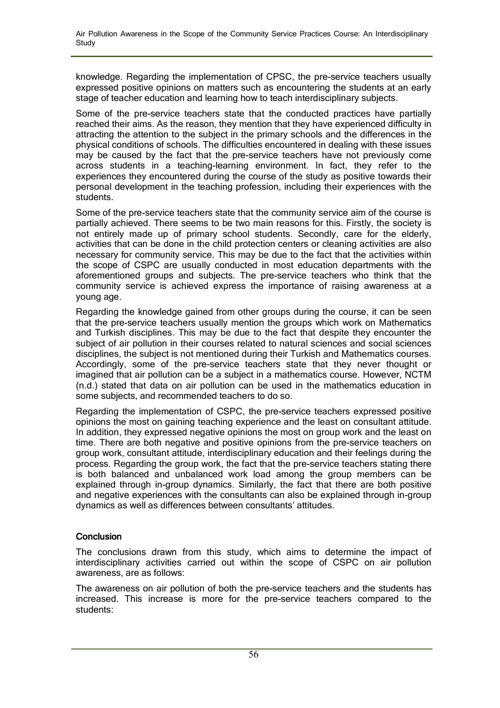knowledge. Regarding the implementation of CPSC, the pre-service teachers usually expressed positive opinions on matters such as encountering the students at an early stage of teacher education and learning how to teach interdisciplinary subjects.

Some of the pre-service teachers state that the conducted practices have partially reached their aims. As the reason, they mention that they have experienced difficulty in attracting the attention to the subject in the primary schools and the differences in the physical conditions of schools. The difficulties encountered in dealing with these issues may be caused by the fact that the pre-service teachers have not previously come across students in a teaching-learning environment. In fact, they refer to the experiences they encountered during the course of the study as positive towards their personal development in the teaching profession, including their experiences with the students.

Some of the pre-service teachers state that the community service aim of the course is partially achieved. There seems to be two main reasons for this. Firstly, the society is not entirely made up of primary school students. Secondly, care for the elderly, activities that can be done in the child protection centers or cleaning activities are also necessary for community service. This may be due to the fact that the activities within the scope of CSPC are usually conducted in most education departments with the aforementioned groups and subjects. The pre-service teachers who think that the community service is achieved express the importance of raising awareness at a young age.

Regarding the knowledge gained from other groups during the course, it can be seen that the pre-service teachers usually mention the groups which work on Mathematics and Turkish disciplines. This may be due to the fact that despite they encounter the subject of air pollution in their courses related to natural sciences and social sciences disciplines, the subject is not mentioned during their Turkish and Mathematics courses. Accordingly, some of the pre-service teachers state that they never thought or imagined that air pollution can be a subject in a mathematics course. However, NCTM (n.d.) stated that data on air pollution can be used in the mathematics education in some subjects, and recommended teachers to do so.

Regarding the implementation of CSPC, the pre-service teachers expressed positive opinions the most on gaining teaching experience and the least on consultant attitude. In addition, they expressed negative opinions the most on group work and the least on time. There are both negative and positive opinions from the pre-service teachers on group work, consultant attitude, interdisciplinary education and their feelings during the process. Regarding the group work, the fact that the pre-service teachers stating there is both balanced and unbalanced work load among the group members can be explained through in-group dynamics. Similarly, the fact that there are both positive and negative experiences with the consultants can also be explained through in-group dynamics as well as differences between consultants' attitudes.

### **Conclusion**

The conclusions drawn from this study, which aims to determine the impact of interdisciplinary activities carried out within the scope of CSPC on air pollution awareness, are as follows:

The awareness on air pollution of both the pre-service teachers and the students has increased. This increase is more for the pre-service teachers compared to the students: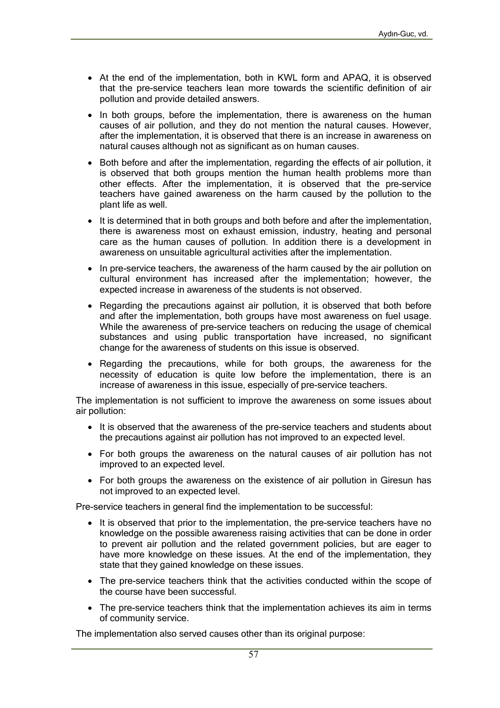- At the end of the implementation, both in KWL form and APAQ, it is observed that the pre-service teachers lean more towards the scientific definition of air pollution and provide detailed answers.
- In both groups, before the implementation, there is awareness on the human causes of air pollution, and they do not mention the natural causes. However, after the implementation, it is observed that there is an increase in awareness on natural causes although not as significant as on human causes.
- Both before and after the implementation, regarding the effects of air pollution, it is observed that both groups mention the human health problems more than other effects. After the implementation, it is observed that the pre-service teachers have gained awareness on the harm caused by the pollution to the plant life as well.
- It is determined that in both groups and both before and after the implementation, there is awareness most on exhaust emission, industry, heating and personal care as the human causes of pollution. In addition there is a development in awareness on unsuitable agricultural activities after the implementation.
- In pre-service teachers, the awareness of the harm caused by the air pollution on cultural environment has increased after the implementation; however, the expected increase in awareness of the students is not observed.
- Regarding the precautions against air pollution, it is observed that both before and after the implementation, both groups have most awareness on fuel usage. While the awareness of pre-service teachers on reducing the usage of chemical substances and using public transportation have increased, no significant change for the awareness of students on this issue is observed.
- Regarding the precautions, while for both groups, the awareness for the necessity of education is quite low before the implementation, there is an increase of awareness in this issue, especially of pre-service teachers.

The implementation is not sufficient to improve the awareness on some issues about air pollution:

- It is observed that the awareness of the pre-service teachers and students about the precautions against air pollution has not improved to an expected level.
- For both groups the awareness on the natural causes of air pollution has not improved to an expected level.
- For both groups the awareness on the existence of air pollution in Giresun has not improved to an expected level.

Pre-service teachers in general find the implementation to be successful:

- It is observed that prior to the implementation, the pre-service teachers have no knowledge on the possible awareness raising activities that can be done in order to prevent air pollution and the related government policies, but are eager to have more knowledge on these issues. At the end of the implementation, they state that they gained knowledge on these issues.
- The pre-service teachers think that the activities conducted within the scope of the course have been successful.
- The pre-service teachers think that the implementation achieves its aim in terms of community service.

The implementation also served causes other than its original purpose: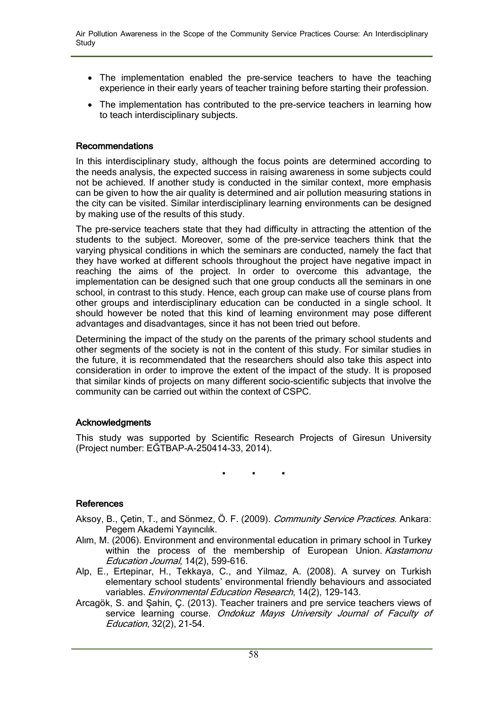- The implementation enabled the pre-service teachers to have the teaching experience in their early years of teacher training before starting their profession.
- The implementation has contributed to the pre-service teachers in learning how to teach interdisciplinary subjects.

#### Recommendations

In this interdisciplinary study, although the focus points are determined according to the needs analysis, the expected success in raising awareness in some subjects could not be achieved. If another study is conducted in the similar context, more emphasis can be given to how the air quality is determined and air pollution measuring stations in the city can be visited. Similar interdisciplinary learning environments can be designed by making use of the results of this study.

The pre-service teachers state that they had difficulty in attracting the attention of the students to the subject. Moreover, some of the pre-service teachers think that the varying physical conditions in which the seminars are conducted, namely the fact that they have worked at different schools throughout the project have negative impact in reaching the aims of the project. In order to overcome this advantage, the implementation can be designed such that one group conducts all the seminars in one school, in contrast to this study. Hence, each group can make use of course plans from other groups and interdisciplinary education can be conducted in a single school. It should however be noted that this kind of learning environment may pose different advantages and disadvantages, since it has not been tried out before.

Determining the impact of the study on the parents of the primary school students and other segments of the society is not in the content of this study. For similar studies in the future, it is recommendated that the researchers should also take this aspect into consideration in order to improve the extent of the impact of the study. It is proposed that similar kinds of projects on many different socio-scientific subjects that involve the community can be carried out within the context of CSPC.

### **Acknowledgments**

This study was supported by Scientific Research Projects of Giresun University (Project number: EĞTBAP-A-250414-33, 2014).

. . .

#### References

- Aksoy, B., Çetin, T., and Sönmez, Ö. F. (2009). Community Service Practices. Ankara: Pegem Akademi Yayıncılık.
- Alım, M. (2006). Environment and environmental education in primary school in Turkey within the process of the membership of European Union. Kastamonu Education Journal, 14(2), 599-616.
- Alp, E., Ertepinar, H., Tekkaya, C., and Yilmaz, A. (2008). A survey on Turkish elementary school students' environmental friendly behaviours and associated variables. Environmental Education Research, 14(2), 129-143.
- Arcagök, S. and Şahin, Ç. (2013). Teacher trainers and pre service teachers views of service learning course. Ondokuz Mayıs University Journal of Faculty of Education, 32(2), 21-54.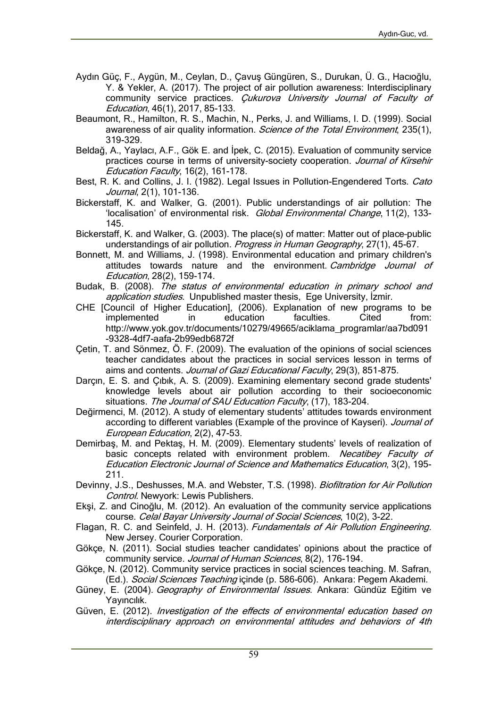- Aydın Güç, F., Aygün, M., Ceylan, D., Çavuş Güngüren, S., Durukan, Ü. G., Hacıoğlu, Y. & Yekler, A. (2017). The project of air pollution awareness: Interdisciplinary community service practices. Cukurova University Journal of Faculty of Education, 46(1), 2017, 85-133.
- Beaumont, R., Hamilton, R. S., Machin, N., Perks, J. and Williams, I. D. (1999). Social awareness of air quality information. *Science of the Total Environment*, 235(1), 319-329.
- Beldağ, A., Yaylacı, A.F., Gök E. and İpek, C. (2015). Evaluation of community service practices course in terms of university-society cooperation. Journal of Kirsehir Education Faculty, 16(2), 161-178.
- Best, R. K. and Collins, J. I. (1982). Legal Issues in Pollution-Engendered Torts. Cato Journal, 2(1), 101-136.
- Bickerstaff, K. and Walker, G. (2001). Public understandings of air pollution: The 'localisation' of environmental risk. Global Environmental Change, 11(2), 133-145.
- Bickerstaff, K. and Walker, G. (2003). The place(s) of matter: Matter out of place–public understandings of air pollution. Progress in Human Geography, 27(1), 45-67.
- Bonnett, M. and Williams, J. (1998). Environmental education and primary children's attitudes towards nature and the environment. Cambridge Journal of Education, 28(2), 159-174.
- Budak, B. (2008). The status of environmental education in primary school and application studies. Unpublished master thesis, Ege University, İzmir.
- CHE [Council of Higher Education], (2006). Explanation of new programs to be implemented in education faculties. Cited from: http://www.yok.gov.tr/documents/10279/49665/aciklama\_programlar/aa7bd091 -9328-4df7-aafa-2b99edb6872f
- Çetin, T. and Sönmez, Ö. F. (2009). The evaluation of the opinions of social sciences teacher candidates about the practices in social services lesson in terms of aims and contents. Journal of Gazi Educational Faculty, 29(3), 851-875.
- Darçın, E. S. and Çıbık, A. S. (2009). Examining elementary second grade students' knowledge levels about air pollution according to their socioeconomic situations. The Journal of SAU Education Faculty, (17), 183-204.
- Değirmenci, M. (2012). A study of elementary students' attitudes towards environment according to different variables (Example of the province of Kayseri). Journal of European Education, 2(2), 47-53.
- Demirbaş, M. and Pektaş, H. M. (2009). Elementary students' levels of realization of basic concepts related with environment problem. Necatibey Faculty of Education Electronic Journal of Science and Mathematics Education, 3(2), 195- 211.
- Devinny, J.S., Deshusses, M.A. and Webster, T.S. (1998). Biofiltration for Air Pollution Control. Newyork: Lewis Publishers.
- Ekşi, Z. and Cinoğlu, M. (2012). An evaluation of the community service applications course. Celal Bayar University Journal of Social Sciences, 10(2), 3-22.
- Flagan, R. C. and Seinfeld, J. H. (2013). Fundamentals of Air Pollution Engineering. New Jersey. Courier Corporation.
- Gökçe, N. (2011). Social studies teacher candidates' opinions about the practice of community service. Journal of Human Sciences, 8(2), 176-194.
- Gökçe, N. (2012). Community service practices in social sciences teaching. M. Safran, (Ed.). Social Sciences Teaching içinde (p. 586-606). Ankara: Pegem Akademi.
- Güney, E. (2004). Geography of Environmental Issues. Ankara: Gündüz Eğitim ve Yayıncılık.
- Güven, E. (2012). Investigation of the effects of environmental education based on interdisciplinary approach on environmental attitudes and behaviors of 4th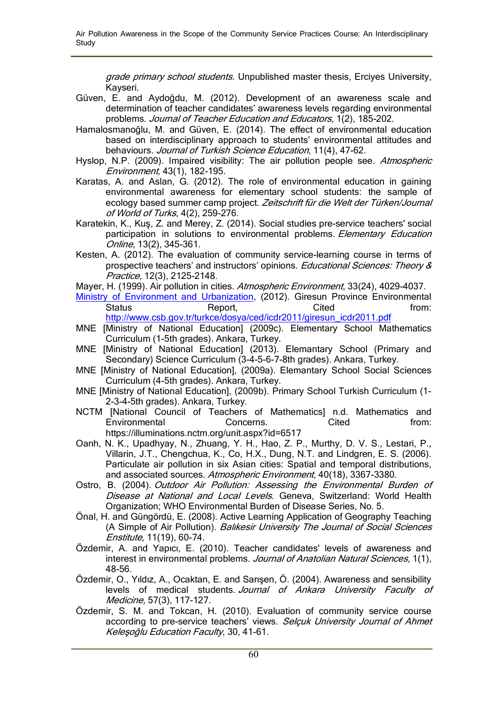grade primary school students. Unpublished master thesis, Erciyes University, Kayseri.

- Güven, E. and Aydoğdu, M. (2012). Development of an awareness scale and determination of teacher candidates' awareness levels regarding environmental problems. Journal of Teacher Education and Educators, 1(2), 185-202.
- Hamalosmanoğlu, M. and Güven, E. (2014). The effect of environmental education based on interdisciplinary approach to students' environmental attitudes and behaviours. Journal of Turkish Science Education, 11(4), 47-62.
- Hyslop, N.P. (2009). Impaired visibility: The air pollution people see. Atmospheric Environment, 43(1), 182-195.
- Karatas, A. and Aslan, G. (2012). The role of environmental education in gaining environmental awareness for elementary school students: the sample of ecology based summer camp project. Zeitschrift für die Welt der Türken/Journal of World of Turks, 4(2), 259-276.
- Karatekin, K., Kuş, Z. and Merey, Z. (2014). Social studies pre-service teachers' social participation in solutions to environmental problems. Elementary Education Online, 13(2), 345-361.
- Kesten, A. (2012). The evaluation of community service-learning course in terms of prospective teachers' and instructors' opinions. Educational Sciences: Theory & Practice, 12(3), 2125-2148.
- Mayer, H. (1999). Air pollution in cities. Atmospheric Environment, 33(24), 4029-4037.
- Ministry of Environment and Urbanization, (2012). Giresun Province Environmental Status **Report,** Cited **From:** Cited **from:** http://www.csb.gov.tr/turkce/dosya/ced/icdr2011/giresun\_icdr2011.pdf
- MNE [Ministry of National Education] (2009c). Elementary School Mathematics Curriculum (1-5th grades). Ankara, Turkey.
- MNE [Ministry of National Education] (2013). Elemantary School (Primary and Secondary) Science Curriculum (3-4-5-6-7-8th grades). Ankara, Turkey.
- MNE [Ministry of National Education], (2009a). Elemantary School Social Sciences Curriculum (4-5th grades). Ankara, Turkey.
- MNE [Ministry of National Education], (2009b). Primary School Turkish Curriculum (1- 2-3-4-5th grades). Ankara, Turkey.
- NCTM [National Council of Teachers of Mathematics] n.d. Mathematics and Environmental Concerns. Cited from: https://illuminations.nctm.org/unit.aspx?id=6517
- Oanh, N. K., Upadhyay, N., Zhuang, Y. H., Hao, Z. P., Murthy, D. V. S., Lestari, P., Villarin, J.T., Chengchua, K., Co, H.X., Dung, N.T. and Lindgren, E. S. (2006). Particulate air pollution in six Asian cities: Spatial and temporal distributions, and associated sources. Atmospheric Environment, 40(18), 3367-3380.
- Ostro, B. (2004). Outdoor Air Pollution: Assessing the Environmental Burden of Disease at National and Local Levels. Geneva, Switzerland: World Health Organization; WHO Environmental Burden of Disease Series, No. 5.
- Önal, H. and Güngördü, E. (2008). Active Learning Application of Geography Teaching (A Simple of Air Pollution). Balikesir University The Journal of Social Sciences Enstitute, 11(19), 60-74.
- Özdemir, A. and Yapıcı, E. (2010). Teacher candidates' levels of awareness and interest in environmental problems. Journal of Anatolian Natural Sciences, 1(1), 48-56.
- Özdemir, O., Yıldız, A., Ocaktan, E. and Sarışen, Ö. (2004). Awareness and sensibility levels of medical students. Journal of Ankara University Faculty of Medicine, 57(3), 117-127.
- Özdemir, S. M. and Tokcan, H. (2010). Evaluation of community service course according to pre-service teachers' views. Selcuk University Journal of Ahmet Keleşoğlu Education Faculty, 30, 41-61.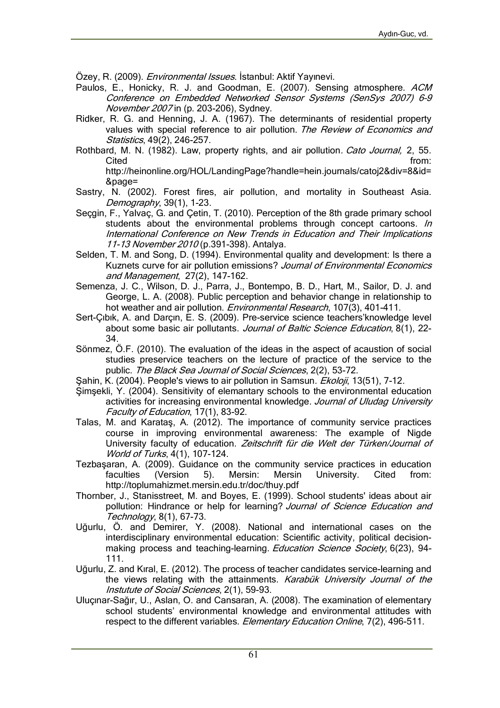Özey, R. (2009). *Environmental Issues*. İstanbul: Aktif Yayınevi.

- Paulos, E., Honicky, R. J. and Goodman, E. (2007). Sensing atmosphere. ACM Conference on Embedded Networked Sensor Systems (SenSys 2007) 6–9 November 2007 in (p. 203-206), Sydney.
- Ridker, R. G. and Henning, J. A. (1967). The determinants of residential property values with special reference to air pollution. The Review of Economics and Statistics, 49(2), 246-257.
- Rothbard, M. N. (1982). Law, property rights, and air pollution. Cato Journal, 2, 55. Cited **from:** http://heinonline.org/HOL/LandingPage?handle=hein.journals/catoj2&div=8&id= &page=
- Sastry, N. (2002). Forest fires, air pollution, and mortality in Southeast Asia. Demography, 39(1), 1-23.
- Seçgin, F., Yalvaç, G. and Çetin, T. (2010). Perception of the 8th grade primary school students about the environmental problems through concept cartoons. In International Conference on New Trends in Education and Their Implications 11-13 November 2010 (p.391-398). Antalya.
- Selden, T. M. and Song, D. (1994). Environmental quality and development: Is there a Kuznets curve for air pollution emissions? Journal of Environmental Economics and Management, 27(2), 147-162.
- Semenza, J. C., Wilson, D. J., Parra, J., Bontempo, B. D., Hart, M., Sailor, D. J. and George, L. A. (2008). Public perception and behavior change in relationship to hot weather and air pollution. Environmental Research, 107(3), 401-411.
- Sert-Çıbık, A. and Darçın, E. S. (2009). Pre-service science teachers'knowledge level about some basic air pollutants. Journal of Baltic Science Education, 8(1), 22-34.
- Sönmez, Ö.F. (2010). The evaluation of the ideas in the aspect of acaustion of social studies preservice teachers on the lecture of practice of the service to the public. The Black Sea Journal of Social Sciences, 2(2), 53-72.
- Sahin, K. (2004). People's views to air pollution in Samsun. Ekoloji, 13(51), 7-12.
- Şimşekli, Y. (2004). Sensitivity of elemantary schools to the environmental education activities for increasing environmental knowledge. Journal of Uludag University Faculty of Education, 17(1), 83-92.
- Talas, M. and Karataş, A. (2012). The importance of community service practices course in improving environmental awareness: The example of Nigde University faculty of education. Zeitschrift für die Welt der Türken/Journal of World of Turks, 4(1), 107-124.
- Tezbaşaran, A. (2009). Guidance on the community service practices in education faculties (Version 5). Mersin: Mersin University. Cited from: http://toplumahizmet.mersin.edu.tr/doc/thuy.pdf
- Thornber, J., Stanisstreet, M. and Boyes, E. (1999). School students' ideas about air pollution: Hindrance or help for learning? Journal of Science Education and Technology, 8(1), 67-73.
- Uğurlu, Ö. and Demirer, Y. (2008). National and international cases on the interdisciplinary environmental education: Scientific activity, political decisionmaking process and teaching-learning. Education Science Society, 6(23), 94-111.
- Uğurlu, Z. and Kıral, E. (2012). The process of teacher candidates service-learning and the views relating with the attainments. Karabük University Journal of the Instutute of Social Sciences, 2(1), 59-93.
- Uluçınar-Sağır, U., Aslan, O. and Cansaran, A. (2008). The examination of elementary school students' environmental knowledge and environmental attitudes with respect to the different variables. Elementary Education Online, 7(2), 496-511.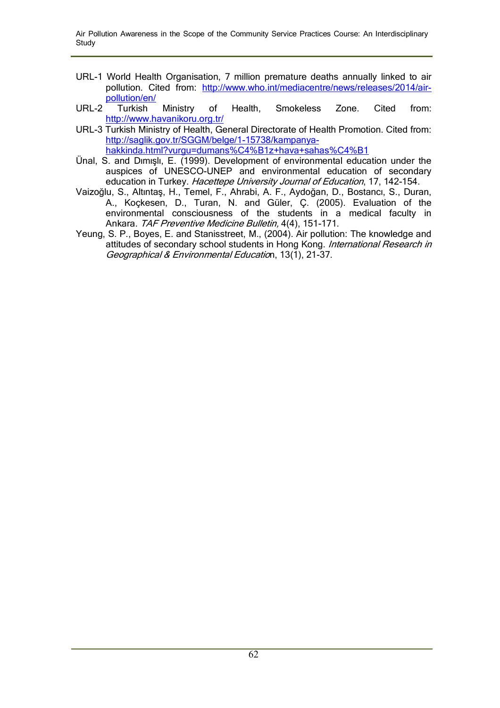- URL-1 World Health Organisation, 7 million premature deaths annually linked to air pollution. Cited from: http://www.who.int/mediacentre/news/releases/2014/airpollution/en/
- URL-2 Turkish Ministry of Health, Smokeless Zone. Cited from: http://www.havanikoru.org.tr/
- URL-3 Turkish Ministry of Health, General Directorate of Health Promotion. Cited from: http://saglik.gov.tr/SGGM/belge/1-15738/kampanyahakkinda.html?vurgu=dumans%C4%B1z+hava+sahas%C4%B1
- Ünal, S. and Dımışlı, E. (1999). Development of environmental education under the auspices of UNESCO-UNEP and environmental education of secondary education in Turkey. Hacettepe University Journal of Education, 17, 142-154.
- Vaizoğlu, S., Altıntaş, H., Temel, F., Ahrabi, A. F., Aydoğan, D., Bostancı, S., Duran, A., Koçkesen, D., Turan, N. and Güler, Ç. (2005). Evaluation of the environmental consciousness of the students in a medical faculty in Ankara. TAF Preventive Medicine Bulletin, 4(4), 151-171.
- Yeung, S. P., Boyes, E. and Stanisstreet, M., (2004). Air pollution: The knowledge and attitudes of secondary school students in Hong Kong. International Research in Geographical & Environmental Education, 13(1), 21-37.